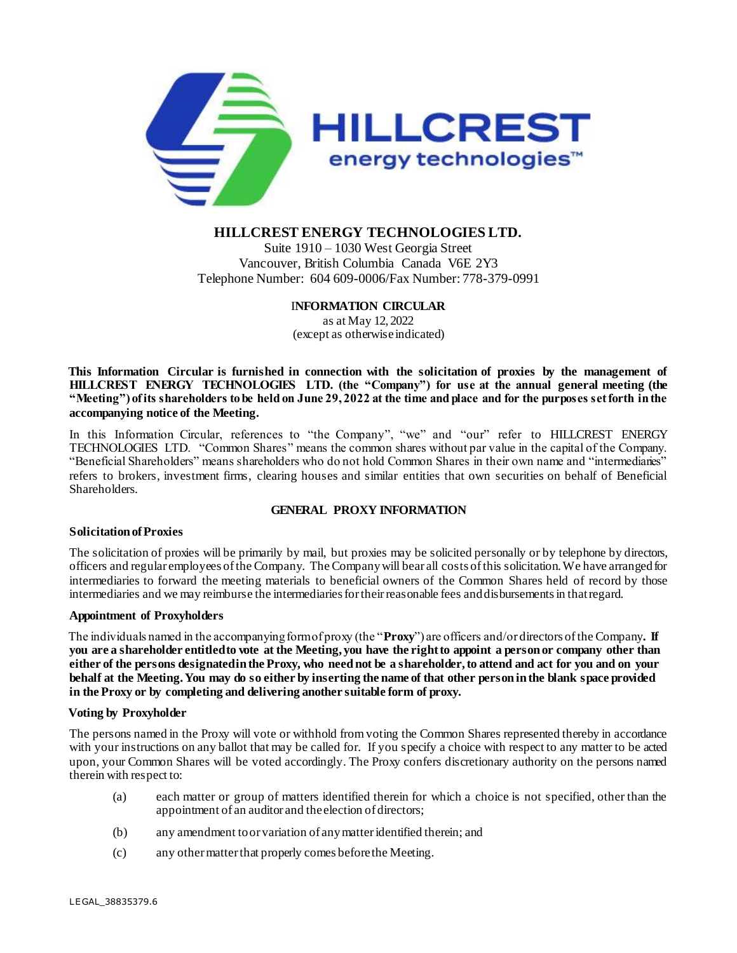

# **HILLCREST ENERGY TECHNOLOGIES LTD.**

Suite 1910 – 1030 West Georgia Street Vancouver, British Columbia Canada V6E 2Y3 Telephone Number: 604 609-0006/Fax Number: 778-379-0991

# I**NFORMATION CIRCULAR**

as at May 12, 2022 (except as otherwiseindicated)

**This Information Circular is furnished in connection with the solicitation of proxies by the management of HILLCREST ENERGY TECHNOLOGIES LTD. (the "Company") for use at the annual general meeting (the "Meeting") of its shareholders to be held on June 29, 2022 at the time and place and for the purposes set forth in the accompanying notice of the Meeting.**

In this Information Circular, references to "the Company", "we" and "our" refer to HILLCREST ENERGY TECHNOLOGIES LTD. "Common Shares" means the common shares without par value in the capital of the Company. "Beneficial Shareholders" means shareholders who do not hold Common Shares in their own name and "intermediaries" refers to brokers, investment firms, clearing houses and similar entities that own securities on behalf of Beneficial Shareholders.

# **GENERAL PROXY INFORMATION**

# **Solicitation of Proxies**

The solicitation of proxies will be primarily by mail, but proxies may be solicited personally or by telephone by directors, officers and regular employees of the Company. The Company will bear all costs of this solicitation. We have arranged for intermediaries to forward the meeting materials to beneficial owners of the Common Shares held of record by those intermediaries and we may reimburse the intermediaries for their reasonable fees and disbursements in that regard.

# **Appointment of Proxyholders**

The individuals named in the accompanying form of proxy (the "**Proxy**") are officers and/or directors of the Company**. If you are a shareholder entitled to vote at the Meeting, you have the right to appoint a person or company other than either of the persons designated in the Proxy, who need not be a shareholder, to attend and act for you and on your behalf at the Meeting. You may do so either by inserting the name of that other person in the blank space provided in the Proxy or by completing and delivering another suitable form of proxy.** 

# **Voting by Proxyholder**

The persons named in the Proxy will vote or withhold from voting the Common Shares represented thereby in accordance with your instructions on any ballot that may be called for. If you specify a choice with respect to any matter to be acted upon, your Common Shares will be voted accordingly. The Proxy confers discretionary authority on the persons named therein with respect to:

- (a) each matter or group of matters identified therein for which a choice is not specified, other than the appointment of an auditor and the election of directors;
- (b) any amendment to or variation of any matter identified therein; and
- (c) any other matter that properly comes before the Meeting.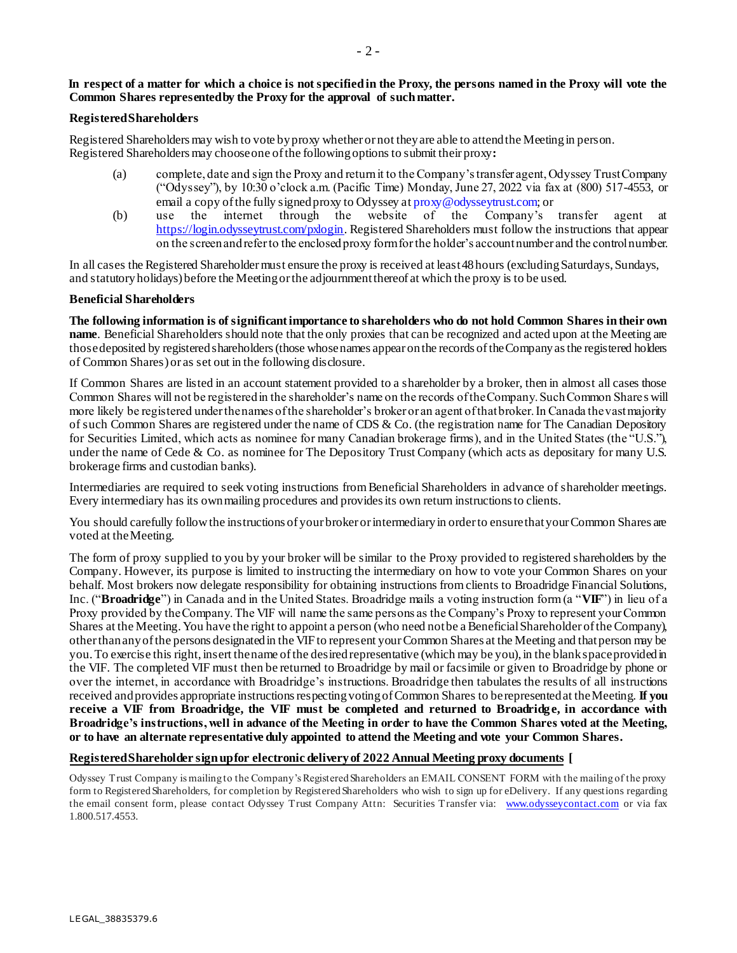### **In respect of a matter for which a choice is not specified in the Proxy, the persons named in the Proxy will vote the Common Shares represented by the Proxy for the approval of such matter.**

### **Registered Shareholders**

Registered Shareholders may wish to vote by proxy whether or not they are able to attend the Meeting in person. Registered Shareholders may choose one of the following options to submit their proxy**:**

- (a) complete, date and sign the Proxy and return it to the Company's transfer agent, Odyssey Trust Company ("Odyssey"), by 10:30 o'clock a.m. (Pacific Time) Monday, June 27, 2022 via fax at (800) 517-4553, or email a copy of the fully signed proxy to Odyssey at proxy@odysseytrust.com; or
- (b) use the internet through the website of the Company's transfer agent at [https://login.odysseytrust.com/pxlogin.](https://login.odysseytrust.com/pxlogin) Registered Shareholders must follow the instructions that appear on the screen and refer to the enclosed proxy form for the holder's account number and the control number.

In all cases the Registered Shareholder must ensure the proxy is received at least 48 hours (excluding Saturdays, Sundays, and statutory holidays) before the Meeting or the adjournment thereof at which the proxy is to be used.

#### **Beneficial Shareholders**

**The following information is of significantimportance to shareholders who do not hold Common Shares intheir own name**. Beneficial Shareholders should note that the only proxies that can be recognized and acted upon at the Meeting are those deposited by registered shareholders (those whose names appear on the records of the Company as the registered holders of Common Shares) or as set out in the following disclosure.

If Common Shares are listed in an account statement provided to a shareholder by a broker, then in almost all cases those Common Shares will not be registeredin the shareholder's name on the records oftheCompany.SuchCommon Share s will more likely be registered under the names of the shareholder's broker or an agent of that broker. In Canada the vast majority of such Common Shares are registered under the name of CDS & Co. (the registration name for The Canadian Depository for Securities Limited, which acts as nominee for many Canadian brokerage firms), and in the United States (the "U.S."), under the name of Cede & Co. as nominee for The Depository Trust Company (which acts as depositary for many U.S. brokerage firms and custodian banks).

Intermediaries are required to seek voting instructions from Beneficial Shareholders in advance of shareholder meetings. Every intermediary has its own mailing procedures and provides its own return instructions to clients.

You should carefully follow the instructions of your broker or intermediary in order to ensure that your Common Shares are voted at the Meeting.

The form of proxy supplied to you by your broker will be similar to the Proxy provided to registered shareholders by the Company. However, its purpose is limited to instructing the intermediary on how to vote your Common Shares on your behalf. Most brokers now delegate responsibility for obtaining instructions from clients to Broadridge Financial Solutions, Inc. ("**Broadridge**") in Canada and in the United States. Broadridge mails a voting instruction form (a "**VIF**") in lieu of a Proxy provided by theCompany.The VIF will name the same persons as the Company's Proxy to represent yourCommon Shares at the Meeting.You have the right to appoint a person (who need notbe a BeneficialShareholder ofthe Company), otherthananyofthe persons designatedin the VIFto represent yourCommon Shares at the Meeting and thatperson may be you. To exercise this right, insert the name of the desired representative (which may be you), in the blank space provided in the VIF. The completed VIF must then be returned to Broadridge by mail or facsimile or given to Broadridge by phone or over the internet, in accordance with Broadridge's instructions. Broadridge then tabulates the results of all instructions received and provides appropriate instructions respecting voting of Common Shares to be represented at the Meeting. **If you receive a VIF from Broadridge, the VIF must be completed and returned to Broadridge, in accordance with Broadridge's instructions,well in advance of the Meeting in order to have the Common Shares voted at the Meeting, or to have an alternate representative duly appointed to attend the Meeting and vote your Common Shares.**

#### **Registered Shareholder sign up for electronic delivery of 2022 Annual Meeting proxy documents [**

Odyssey Trust Company is mailing to the Company's Registered Shareholders an EMAIL CONSENT FORM with the mailing of the proxy form to Registered Shareholders, for completion by Registered Shareholders who wish to sign up for eDelivery. If any questions regarding the email consent form, please contact Odyssey Trust Company Attn: Securities Transfer via: [www.odysseycontact.com](http://www.odysseycontact.com/) or via fax 1.800.517.4553.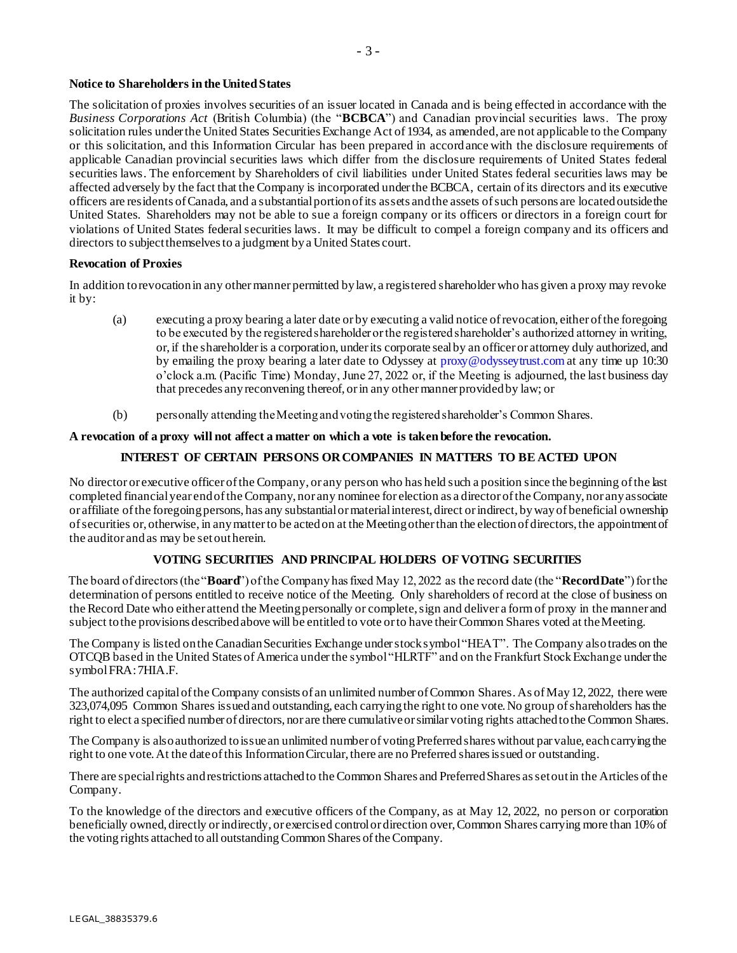# **Notice to Shareholders in the United States**

The solicitation of proxies involves securities of an issuer located in Canada and is being effected in accordance with the *Business Corporations Act* (British Columbia) (the "**BCBCA**") and Canadian provincial securities laws. The proxy solicitation rules under the United States Securities Exchange Act of 1934, as amended, are not applicable to the Company or this solicitation, and this Information Circular has been prepared in accordance with the disclosure requirements of applicable Canadian provincial securities laws which differ from the disclosure requirements of United States federal securities laws. The enforcement by Shareholders of civil liabilities under United States federal securities laws may be affected adversely by the fact that the Company is incorporated under the BCBCA, certain of its directors and its executive officers are residents of Canada, and a substantial portion of its assets and the assets of such persons are located outside the United States. Shareholders may not be able to sue a foreign company or its officers or directors in a foreign court for violations of United States federal securities laws. It may be difficult to compel a foreign company and its officers and directors to subject themselves to a judgment by a United States court.

#### **Revocation of Proxies**

In addition to revocation in any other manner permitted by law, a registered shareholder who has given a proxy may revoke it by:

- (a) executing a proxy bearing a later date or by executing a valid notice of revocation, either of the foregoing to be executed by the registered shareholder or the registered shareholder's authorized attorney in writing, or, if the shareholder is a corporation, under its corporate seal by an officer or attorney duly authorized, and by emailing the proxy bearing a later date to Odyssey at proxy@odysseytrust.com at any time up 10:30 o'clock a.m. (Pacific Time) Monday, June 27, 2022 or, if the Meeting is adjourned, the last business day that precedes any reconvening thereof, or in any other manner provided by law; or
- (b) personally attending the Meeting and voting the registered shareholder's Common Shares.

# **A revocation of a proxy will not affect a matter on which a vote is taken before the revocation.**

# **INTEREST OF CERTAIN PERSONS OR COMPANIES IN MATTERS TO BE ACTED UPON**

No director or executive officer ofthe Company, or any person who has held such a position since the beginning ofthe last completed financialyear endofthe Company, nor any nominee for election as a director ofthe Company, nor anyassociate or affiliate of the foregoing persons, has any substantial or material interest, direct or indirect, by way of beneficial ownership ofsecurities or, otherwise, in anymatterto be actedon at the Meetingotherthan the electionof directors,the appointmentof the auditor and as may be setoutherein.

# **VOTING SECURITIES AND PRINCIPAL HOLDERS OF VOTING SECURITIES**

The board of directors(the"**Board**") ofthe Company hasfixed May 12, 2022 as the record date (the "**RecordDate**")forthe determination of persons entitled to receive notice of the Meeting. Only shareholders of record at the close of business on the Record Date who either attend the Meeting personally or complete, sign and deliver a form of proxy in the manner and subject to the provisions described above will be entitled to vote or to have their Common Shares voted at the Meeting.

The Company is listed on the Canadian Securities Exchange under stock symbol "HEAT". The Company also trades on the OTCQB based in the United States ofAmerica underthe symbol"HLRTF" and on the Frankfurt StockExchange underthe symbolFRA:7HIA.F.

The authorized capital of the Company consists of an unlimited number of Common Shares. As of May 12, 2022, there were 323,074,095 Common Shares issuedand outstanding, each carryingthe right to one vote.No group ofshareholders hasthe right to elect a specified number of directors, nor are there cumulativeorsimilar voting rights attachedtothe Common Shares.

The Company is also authorized to issue an unlimited number of voting Preferred shares without par value, each carrying the right to one vote. At the date of this Information Circular, there are no Preferred shares issued or outstanding.

There are special rights and restrictions attached to the Common Shares and Preferred Shares as set out in the Articles of the Company.

To the knowledge of the directors and executive officers of the Company, as at May 12, 2022, no person or corporation beneficially owned, directly or indirectly, or exercised control or direction over, Common Shares carrying more than 10% of the voting rights attached to all outstanding Common Shares of the Company.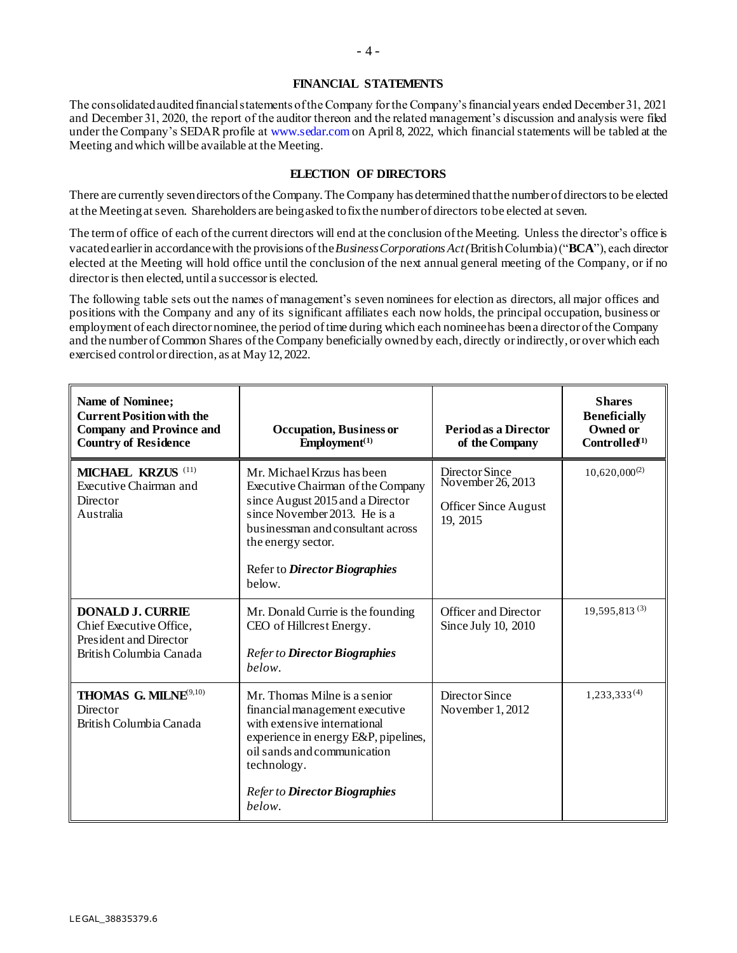### **FINANCIAL STATEMENTS**

The consolidated audited financial statements of the Company for the Company's financial years ended December 31, 2021 and December 31, 2020, the report of the auditor thereon and the related management's discussion and analysis were filed under the Company's SEDAR profile at www.sedar.com on April 8, 2022, which financial statements will be tabled at the Meeting and which will be available at the Meeting.

### **ELECTION OF DIRECTORS**

There are currently seven directors of the Company. The Company has determined that the number of directors to be elected at the Meeting at seven. Shareholders are being asked to fix the number of directors to be elected at seven.

The term of office of each of the current directors will end at the conclusion of the Meeting. Unless the director's office is vacatedearlierin accordancewith the provisions ofthe*BusinessCorporations Act(*BritishColumbia) ("**BCA**"), each director elected at the Meeting will hold office until the conclusion of the next annual general meeting of the Company, or if no director is then elected, until a successor is elected.

The following table sets out the names of management's seven nominees for election as directors, all major offices and positions with the Company and any of its significant affiliates each now holds, the principal occupation, business or employment of each director nominee, the period of time during which each nominee has been a director of the Company and the number of Common Shares of the Company beneficially owned by each, directly or indirectly, or over which each exercised controlor direction, as at May 12, 2022.

| <b>Name of Nominee;</b><br><b>Current Position with the</b><br><b>Company and Province and</b><br><b>Country of Residence</b> | <b>Occupation</b> , Business or<br>Employment <sup>(1)</sup>                                                                                                                                                                              | <b>Period as a Director</b><br>of the Company                                  | <b>Shares</b><br><b>Beneficially</b><br>Owned or<br>Controlled <sup>(1)</sup> |
|-------------------------------------------------------------------------------------------------------------------------------|-------------------------------------------------------------------------------------------------------------------------------------------------------------------------------------------------------------------------------------------|--------------------------------------------------------------------------------|-------------------------------------------------------------------------------|
| MICHAEL KRZUS <sup>(11)</sup><br>Executive Chairman and<br>Director<br>Australia                                              | Mr. Michael Krzus has been<br>Executive Chairman of the Company<br>since August 2015 and a Director<br>since November 2013. He is a<br>businessman and consultant across<br>the energy sector.<br>Refer to Director Biographies<br>below. | Director Since<br>November 26, 2013<br><b>Officer Since August</b><br>19, 2015 | $10,620,000^{(2)}$                                                            |
| <b>DONALD J. CURRIE</b><br>Chief Executive Office,<br><b>President and Director</b><br>British Columbia Canada                | Mr. Donald Currie is the founding<br>CEO of Hillcrest Energy.<br>Refer to Director Biographies<br>below.                                                                                                                                  | <b>Officer and Director</b><br>Since July 10, 2010                             | $19.595.813^{(3)}$                                                            |
| THOMAS G. MILNE <sup>9,10)</sup><br>Director<br>British Columbia Canada                                                       | Mr. Thomas Milne is a senior<br>financial management executive<br>with extensive international<br>experience in energy E&P, pipelines,<br>oil sands and communication<br>technology.<br>Refer to Director Biographies                     | Director Since<br>November 1, 2012                                             | $1,233,333^{(4)}$                                                             |
|                                                                                                                               | below.                                                                                                                                                                                                                                    |                                                                                |                                                                               |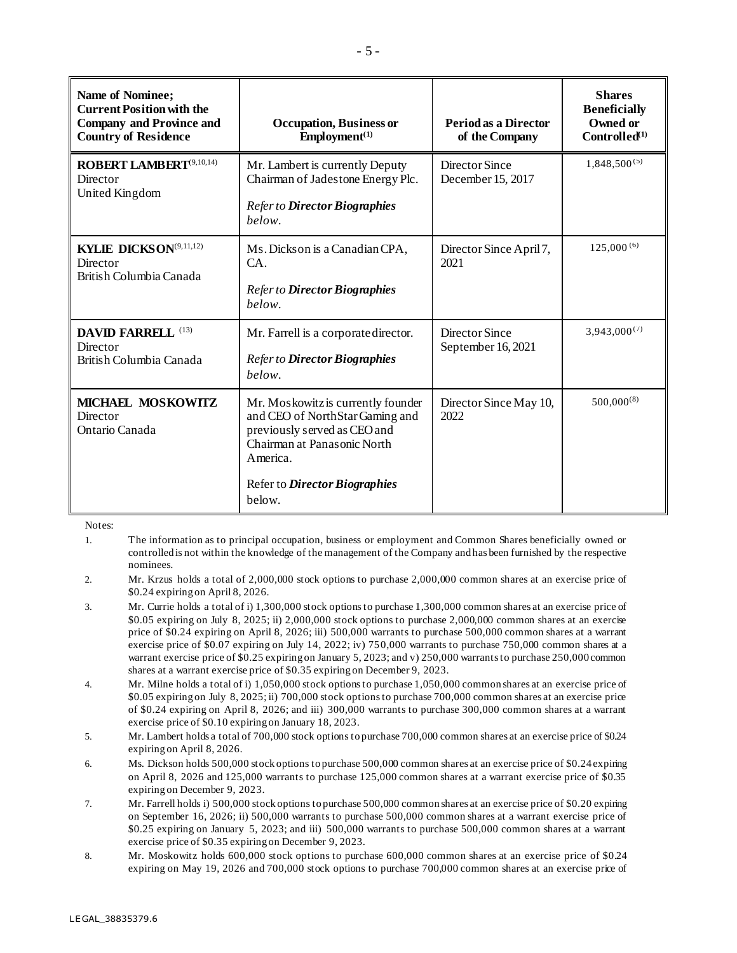| <b>Name of Nominee;</b><br><b>Current Position with the</b><br><b>Company and Province and</b><br><b>Country of Residence</b> | Occupation, Business or<br>$Employment^{(1)}$                                                                                                    | <b>Period as a Director</b><br>of the Company | <b>Shares</b><br><b>Beneficially</b><br>Owned or<br>Controlled <sup>(1)</sup> |
|-------------------------------------------------------------------------------------------------------------------------------|--------------------------------------------------------------------------------------------------------------------------------------------------|-----------------------------------------------|-------------------------------------------------------------------------------|
| <b>ROBERT LAMBERT</b> <sup>(9,10,14)</sup><br><b>Director</b><br>United Kingdom                                               | Mr. Lambert is currently Deputy<br>Chairman of Jadestone Energy Plc.<br>Refer to Director Biographies<br>below.                                  | Director Since<br>December 15, 2017           | $1,848,500^{(5)}$                                                             |
| KYLIE DICKSON <sup>(9,11,12)</sup><br>Director<br>British Columbia Canada                                                     | Ms. Dickson is a Canadian CPA,<br>CA.<br>Refer to Director Biographies<br>below.                                                                 | Director Since April 7,<br>2021               |                                                                               |
| <b>DAVID FARRELL (13)</b><br>Director<br>British Columbia Canada                                                              | Mr. Farrell is a corporate director.<br>Refer to Director Biographies<br>below.                                                                  | Director Since<br>September 16, 2021          | $3,943,000^{(7)}$                                                             |
| MICHAEL MOSKOWITZ<br>Director<br>Ontario Canada                                                                               | Mr. Moskowitz is currently founder<br>and CEO of NorthStar Gaming and<br>previously served as CEO and<br>Chairman at Panasonic North<br>America. | Director Since May 10,<br>2022                | $500,000^{(8)}$                                                               |
|                                                                                                                               | Refer to Director Biographies<br>below.                                                                                                          |                                               |                                                                               |

Notes:

1. The information as to principal occupation, business or employment and Common Shares beneficially owned or controlled is not within the knowledge of the management of the Company and has been furnished by the respective nominees.

- 2. Mr. Krzus holds a total of 2,000,000 stock options to purchase 2,000,000 common shares at an exercise price of \$0.24 expiring on April 8, 2026.
- 3. Mr. Currie holds a total of i) 1,300,000 stock options to purchase 1,300,000 common shares at an exercise price of \$0.05 expiring on July 8, 2025; ii) 2,000,000 stock options to purchase 2,000,000 common shares at an exercise price of \$0.24 expiring on April 8, 2026; iii) 500,000 warrants to purchase 500,000 common shares at a warrant exercise price of \$0.07 expiring on July 14, 2022; iv) 750,000 warrants to purchase 750,000 common shares at a warrant exercise price of \$0.25 expiring on January 5, 2023; and v) 250,000 warrants to purchase 250,000 common shares at a warrant exercise price of \$0.35 expiring on December 9, 2023.
- 4. Mr. Milne holds a total of i) 1,050,000 stock optionsto purchase 1,050,000 common shares at an exercise price of \$0.05 expiring on July 8, 2025; ii) 700,000 stock options to purchase 700,000 common shares at an exercise price of \$0.24 expiring on April 8, 2026; and iii) 300,000 warrants to purchase 300,000 common shares at a warrant exercise price of \$0.10 expiring on January 18, 2023.
- 5. Mr. Lambert holds a total of 700,000 stock options to purchase 700,000 common shares at an exercise price of \$0.24 expiring on April 8, 2026.
- 6. Ms. Dickson holds 500,000 stock options to purchase 500,000 common shares at an exercise price of \$0.24 expiring on April 8, 2026 and 125,000 warrants to purchase 125,000 common shares at a warrant exercise price of \$0.35 expiring on December 9, 2023.
- 7. Mr. Farrell holds i) 500,000 stock options to purchase 500,000 common shares at an exercise price of \$0.20 expiring on September 16, 2026; ii) 500,000 warrants to purchase 500,000 common shares at a warrant exercise price of \$0.25 expiring on January 5, 2023; and iii) 500,000 warrants to purchase 500,000 common shares at a warrant exercise price of \$0.35 expiring on December 9, 2023.
- 8. Mr. Moskowitz holds 600,000 stock options to purchase 600,000 common shares at an exercise price of \$0.24 expiring on May 19, 2026 and 700,000 stock options to purchase 700,000 common shares at an exercise price of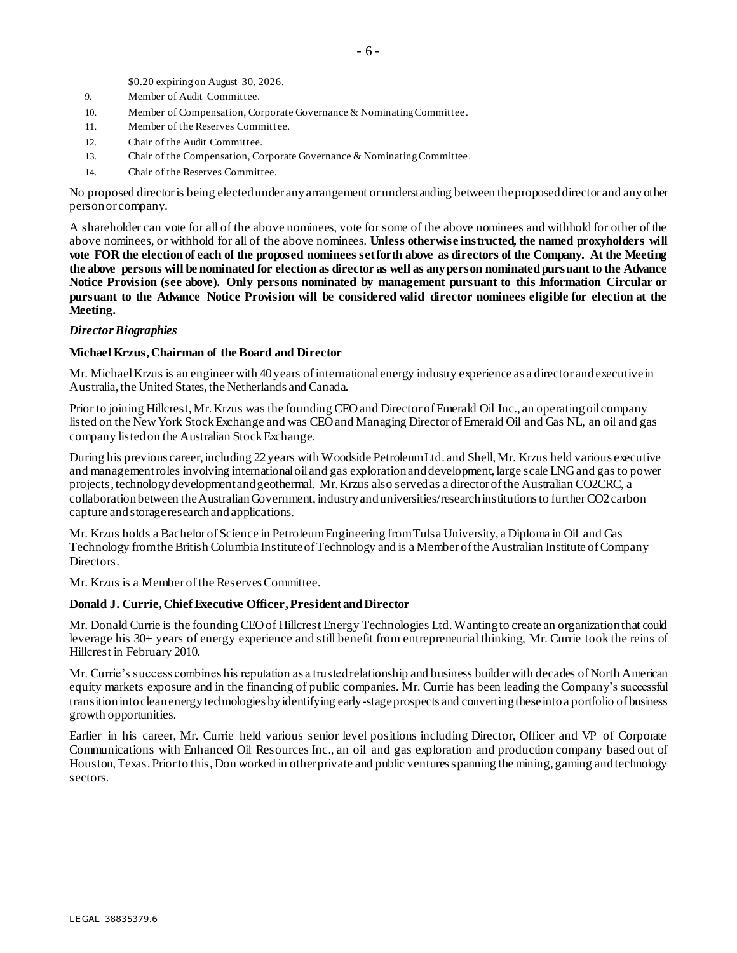\$0.20 expiring on August 30, 2026.

- 9. Member of Audit Committee.
- 10. Member of Compensation, Corporate Governance & Nominating Committee.
- 11. Member of the Reserves Committee.
- 12. Chair of the Audit Committee.
- 13. Chair of the Compensation, Corporate Governance & Nominating Committee.
- 14. Chair of the Reserves Committee.

No proposed director is being elected under any arrangement or understanding between the proposed director and any other person or company.

A shareholder can vote for all of the above nominees, vote for some of the above nominees and withhold for other of the above nominees, or withhold for all of the above nominees. **Unless otherwise instructed, the named proxyholders will vote FOR the election of each of the proposed nominees set forth above as directors of the Company. At the Meeting the above persons will be nominated for election as director as well as any person nominated pursuant to the Advance Notice Provision (see above). Only persons nominated by management pursuant to this Information Circular or pursuant to the Advance Notice Provision will be considered valid director nominees eligible for election at the Meeting.**

### *Director Biographies*

### **Michael Krzus, Chairman of the Board and Director**

Mr. Michael Krzus is an engineer with 40 years of international energy industry experience as a director and executive in Australia, the United States, the Netherlands and Canada.

Prior to joining Hillcrest, Mr. Krzus was the founding CEO and Director of Emerald Oil Inc., an operating oil company listed on the New York Stock Exchange and was CEO and Managing Director of Emerald Oil and Gas NL, an oil and gas company listed on the Australian Stock Exchange.

During his previous career, including 22 years with Woodside Petroleum Ltd. and Shell, Mr. Krzus held various executive and management roles involving international oil and gas exploration and development, large scale LNG and gas to power projects, technology development and geothermal. Mr. Krzus also served as a director of the Australian CO2CRC, a collaboration between the Australian Government, industry and universities/research institutions to further CO2 carbon capture and storage research and applications.

Mr. Krzus holds a Bachelor of Science in Petroleum Engineering from Tulsa University, a Diploma in Oil and Gas Technology from the British Columbia Institute of Technology and is a Member of the Australian Institute of Company Directors.

Mr. Krzus is a Member of the Reserves Committee.

# **Donald J. Currie, Chief Executive Officer, President and Director**

Mr. Donald Currie is the founding CEO of Hillcrest Energy Technologies Ltd. Wanting to create an organization that could leverage his 30+ years of energy experience and still benefit from entrepreneurial thinking, Mr. Currie took the reins of Hillcrest in February 2010.

Mr. Currie's success combines his reputation as a trusted relationship and business builder with decades of North American equity markets exposure and in the financing of public companies. Mr. Currie has been leading the Company's successful transition into clean energy technologies by identifying early-stage prospects and converting these into a portfolio of business growth opportunities.

Earlier in his career, Mr. Currie held various senior level positions including Director, Officer and VP of Corporate Communications with Enhanced Oil Resources Inc., an oil and gas exploration and production company based out of Houston, Texas. Prior to this, Don worked in other private and public ventures spanning the mining, gaming and technology sectors.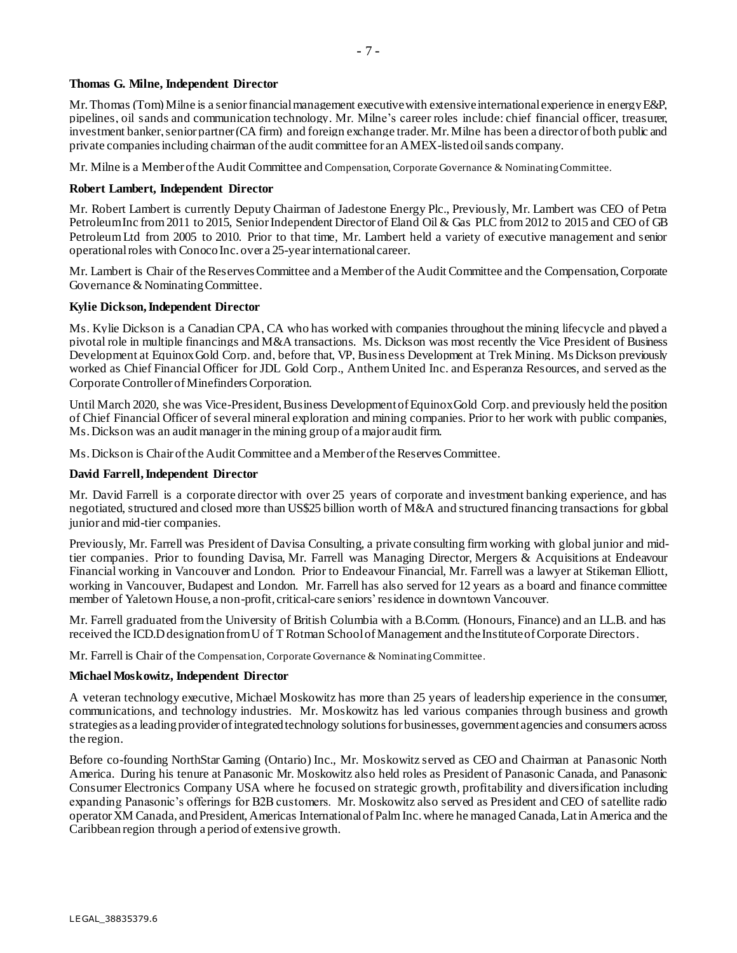# **Thomas G. Milne, Independent Director**

Mr. Thomas (Tom) Milne is a senior financial management executive with extensive international experience in energy E&P, pipelines, oil sands and communication technology. Mr. Milne's career roles include: chief financial officer, treasurer, investment banker, senior partner (CA firm) and foreign exchange trader. Mr. Milne has been a director of both public and private companies including chairman of the audit committee for an AMEX-listed oil sands company.

Mr. Milne is a Member of the Audit Committee and Compensation, Corporate Governance & Nominating Committee.

# **Robert Lambert, Independent Director**

Mr. Robert Lambert is currently Deputy Chairman of Jadestone Energy Plc., Previously, Mr. Lambert was CEO of Petra Petroleum Inc from 2011 to 2015, Senior Independent Director of Eland Oil & Gas PLC from 2012 to 2015 and CEO of GB Petroleum Ltd from 2005 to 2010. Prior to that time, Mr. Lambert held a variety of executive management and senior operational roles with Conoco Inc. over a 25-year international career.

Mr. Lambert is Chair of the Reserves Committee and a Member of the Audit Committee and the Compensation, Corporate Governance & Nominating Committee.

# **Kylie Dickson, Independent Director**

Ms. Kylie Dickson is a Canadian CPA, CA who has worked with companies throughout the mining lifecycle and played a pivotal role in multiple financings and M&A transactions. Ms. Dickson was most recently the Vice President of Business Development at Equinox Gold Corp. and, before that, VP, Business Development at Trek Mining. Ms Dickson previously worked as Chief Financial Officer for JDL Gold Corp., Anthem United Inc. and Esperanza Resources, and served as the Corporate Controller of Minefinders Corporation.

Until March 2020, she was Vice-President, Business Development of Equinox Gold Corp. and previously held the position of Chief Financial Officer of several mineral exploration and mining companies. Prior to her work with public companies, Ms. Dickson was an audit manager in the mining group of a major audit firm.

Ms. Dickson is Chair of the Audit Committee and a Member of the Reserves Committee.

# **David Farrell, Independent Director**

Mr. David Farrell is a corporate director with over 25 years of corporate and investment banking experience, and has negotiated, structured and closed more than US\$25 billion worth of M&A and structured financing transactions for global junior and mid-tier companies.

Previously, Mr. Farrell was President of Davisa Consulting, a private consulting firm working with global junior and midtier companies. Prior to founding Davisa, Mr. Farrell was Managing Director, Mergers & Acquisitions at Endeavour Financial working in Vancouver and London. Prior to Endeavour Financial, Mr. Farrell was a lawyer at Stikeman Elliott, working in Vancouver, Budapest and London. Mr. Farrell has also served for 12 years as a board and finance committee member of Yaletown House, a non-profit, critical-care seniors' residence in downtown Vancouver.

Mr. Farrell graduated from the University of British Columbia with a B.Comm. (Honours, Finance) and an LL.B. and has received the ICD.D designation from U of T Rotman School of Management and the Institute of Corporate Directors.

Mr. Farrell is Chair of the Compensation, Corporate Governance & Nominating Committee.

# **Michael Moskowitz, Independent Director**

A veteran technology executive, Michael Moskowitz has more than 25 years of leadership experience in the consumer, communications, and technology industries. Mr. Moskowitz has led various companies through business and growth strategies as a leading provider of integrated technology solutions for businesses, government agencies and consumers across the region.

Before co-founding NorthStar Gaming (Ontario) Inc., Mr. Moskowitz served as CEO and Chairman at Panasonic North America. During his tenure at Panasonic Mr. Moskowitz also held roles as President of Panasonic Canada, and Panasonic Consumer Electronics Company USA where he focused on strategic growth, profitability and diversification including expanding Panasonic's offerings for B2B customers. Mr. Moskowitz also served as President and CEO of satellite radio operator XM Canada, and President, Americas International of Palm Inc. where he managed Canada, Latin America and the Caribbean region through a period of extensive growth.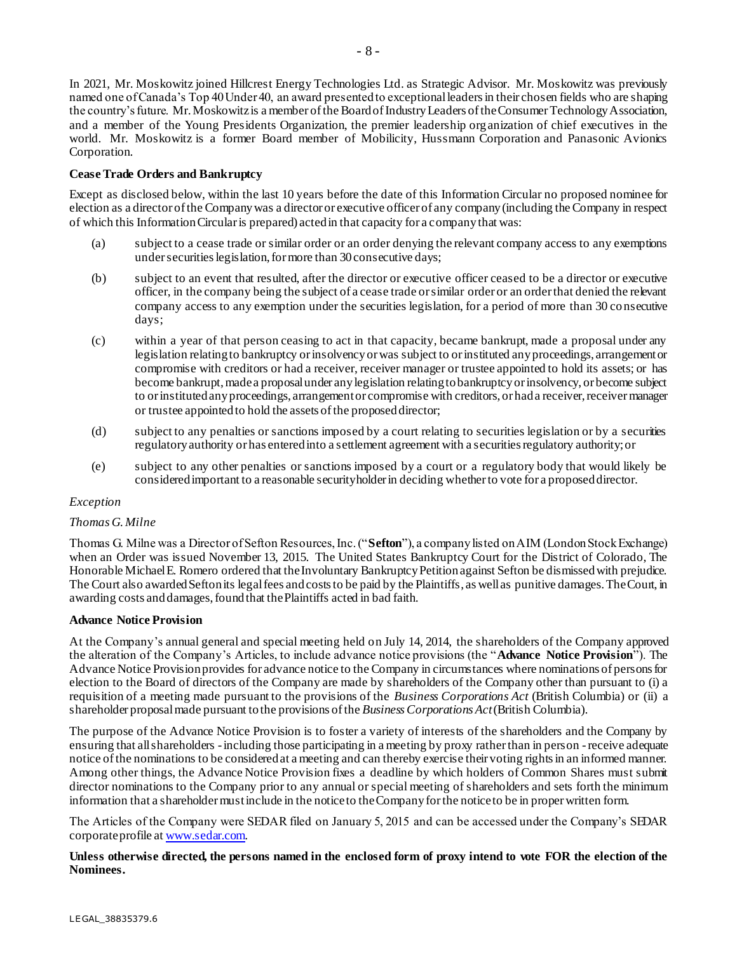In 2021, Mr. Moskowitz joined Hillcrest Energy Technologies Ltd. as Strategic Advisor. Mr. Moskowitz was previously named one of Canada's Top 40 Under 40, an award presented to exceptional leaders in their chosen fields who are shaping the country's future. Mr. Moskowitz is a member of the Board of Industry Leaders of the Consumer Technology Association, and a member of the Young Presidents Organization, the premier leadership organization of chief executives in the world. Mr. Moskowitz is a former Board member of Mobilicity, Hussmann Corporation and Panasonic Avionics Corporation.

# **Cease Trade Orders and Bankruptcy**

Except as disclosed below, within the last 10 years before the date of this Information Circular no proposed nominee for election as a director of the Company was a director or executive officer of any company (including the Company in respect of which this Information Circular is prepared) acted in that capacity for a company that was:

- (a) subject to a cease trade or similar order or an order denying the relevant company access to any exemptions under securities legislation, for more than 30 consecutive days;
- (b) subject to an event that resulted, after the director or executive officer ceased to be a director or executive officer, in the company being the subject of a cease trade or similar order or an order that denied the relevant company access to any exemption under the securities legislation, for a period of more than 30 consecutive days;
- (c) within a year of that person ceasing to act in that capacity, became bankrupt, made a proposal under any legislation relating to bankruptcy or insolvency or was subject to or instituted any proceedings, arrangement or compromise with creditors or had a receiver, receiver manager or trustee appointed to hold its assets; or has become bankrupt, made a proposal under any legislation relating to bankruptcy or insolvency, or become subject to or instituted any proceedings, arrangement or compromise with creditors, or had a receiver, receiver manager or trustee appointed to hold the assets of the proposed director;
- (d) subject to any penalties or sanctions imposed by a court relating to securities legislation or by a securities regulatory authority or has entered into a settlement agreement with a securities regulatory authority; or
- (e) subject to any other penalties or sanctions imposed by a court or a regulatory body that would likely be considered important to a reasonable securityholder in deciding whether to vote for a proposed director.

#### *Exception*

#### *Thomas G. Milne*

Thomas G. Milne was a Director of Sefton Resources, Inc. ("**Sefton**"), a company listed on AIM (London Stock Exchange) when an Order was issued November 13, 2015. The United States Bankruptcy Court for the District of Colorado, The Honorable Michael E. Romero ordered that the Involuntary Bankruptcy Petition against Sefton be dismissed with prejudice. The Court also awarded Sefton its legal fees and costs to be paid by the Plaintiffs, as well as punitive damages. The Court, in awarding costs anddamages,foundthat thePlaintiffs acted in bad faith.

#### **Advance Notice Provision**

At the Company's annual general and special meeting held on July 14, 2014, the shareholders of the Company approved the alteration of the Company's Articles, to include advance notice provisions (the "**Advance Notice Provision**"). The Advance Notice Provision provides for advance notice to the Company in circumstances where nominations of persons for election to the Board of directors of the Company are made by shareholders of the Company other than pursuant to (i) a requisition of a meeting made pursuant to the provisions of the *Business Corporations Act* (British Columbia) or (ii) a shareholder proposalmade pursuant tothe provisions ofthe *BusinessCorporations Act*(British Columbia).

The purpose of the Advance Notice Provision is to foster a variety of interests of the shareholders and the Company by ensuring that allshareholders -including those participating in a meeting by proxy ratherthan in person -receive adequate notice ofthe nominations to be consideredat a meeting and can thereby exercise their voting rightsin an informed manner. Among other things, the Advance Notice Provision fixes a deadline by which holders of Common Shares must submit director nominations to the Company prior to any annual or special meeting of shareholders and sets forth the minimum information that a shareholdermustinclude in the noticeto theCompany forthe noticeto be in properwritten form.

The Articles of the Company were SEDAR filed on January 5, 2015 and can be accessed under the Company's SEDAR corporate profile a[t www.sedar.com.](http://www.sedar.com/)

**Unless otherwise directed, the persons named in the enclosed form of proxy intend to vote FOR the election of the Nominees.**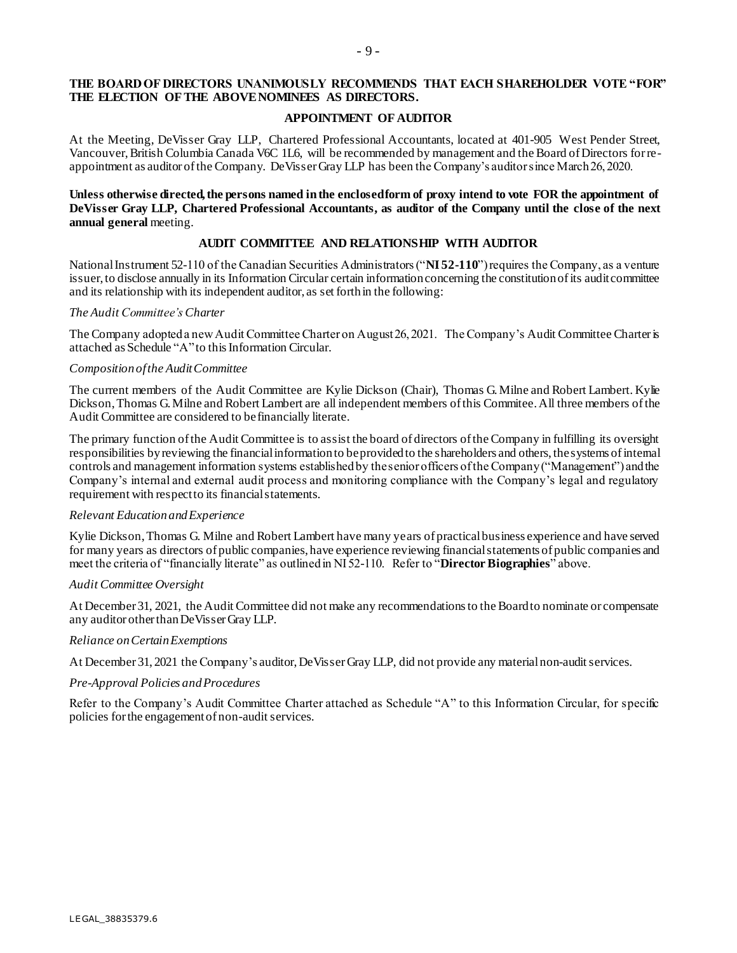# **THE BOARD OF DIRECTORS UNANIMOUSLY RECOMMENDS THAT EACH SHAREHOLDER VOTE "FOR" THE ELECTION OF THE ABOVE NOMINEES AS DIRECTORS.**

### **APPOINTMENT OF AUDITOR**

At the Meeting, DeVisser Gray LLP, Chartered Professional Accountants, located at 401-905 West Pender Street, Vancouver,British Columbia Canada V6C 1L6, will be recommended by management and the Board ofDirectors forreappointment as auditor ofthe Company. DeVisserGray LLP has been the Company's auditorsince March26, 2020.

### **Unless otherwise directed, the persons named in the enclosed form of proxy intend to wote FOR the appointment of DeVisser Gray LLP, Chartered Professional Accountants, as auditor of the Company until the close of the next annual general** meeting.

# **AUDIT COMMITTEE AND RELATIONSHIP WITH AUDITOR**

National Instrument 52-110 of the Canadian Securities Administrators ("NI 52-110") requires the Company, as a venture issuer, to disclose annually in its Information Circular certain information concerning the constitution of its audit committee and its relationship with its independent auditor, as set forthin the following:

### *The Audit Committee'sCharter*

The Company adopted a new Audit Committee Charter on August 26, 2021. The Company's Audit Committee Charter is attached as Schedule "A"to this Information Circular.

#### *Composition ofthe Audit Committee*

The current members of the Audit Committee are Kylie Dickson (Chair), Thomas G.Milne and Robert Lambert. Kylie Dickson,Thomas G.Milne and Robert Lambert are all independent members ofthis Commitee.All three members ofthe Audit Committee are considered to befinancially literate.

The primary function ofthe Audit Committee is to assist the board of directors ofthe Company in fulfilling its oversight responsibilities by reviewing the financial information to be provided to the shareholders and others, the systems of internal controls and management information systems establishedby thesenior officers ofthe Company("Management") andthe Company's internal and external audit process and monitoring compliance with the Company's legal and regulatory requirement with respectto its financialstatements.

#### *Relevant Education and Experience*

Kylie Dickson,Thomas G. Milne and Robert Lambert have many years of practicalbusiness experience and have served for many years as directors of public companies, have experience reviewing financialstatements of public companies and meet the criteria of "financially literate" as outlinedin NI 52-110. Refer to "**Director Biographies**" above.

#### *Audit Committee Oversight*

At December 31, 2021, the Audit Committee did not make any recommendations to the Board to nominate or compensate any auditor other than DeVisser Gray LLP.

#### *Reliance onCertain Exemptions*

At December 31, 2021 the Company's auditor, DeVisser Gray LLP, did not provide any material non-audit services.

#### *Pre-Approval Policies and Procedures*

Refer to the Company's Audit Committee Charter attached as Schedule "A" to this Information Circular, for specific policies for the engagement of non-audit services.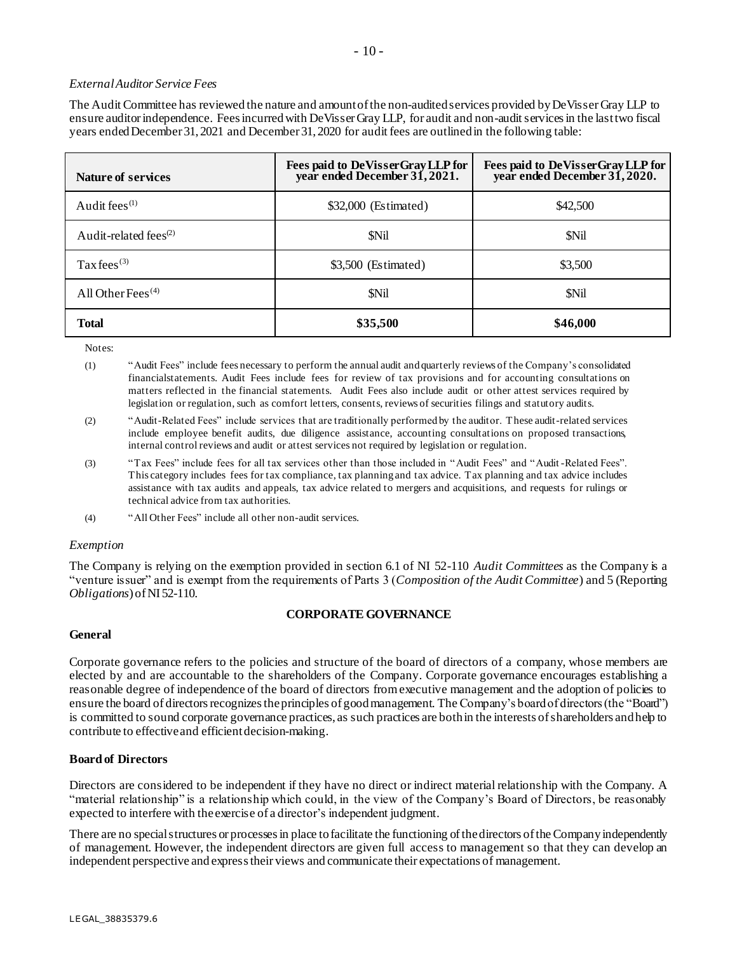# *ExternalAuditor Service Fees*

The Audit Committee has reviewed the nature and amount of the non-audited services provided by DeVisser Gray LLP to ensure auditor independence. Fees incurredwith DeVisserGray LLP, for audit and non-audit services in the last two fiscal years ended December 31, 2021 and December 31, 2020 for audit fees are outlined in the following table:

| <b>Nature of services</b>   | Fees paid to DeVisserGray LLP for<br>year ended December 31, 2021. | Fees paid to DeVisserGray LLP for<br>year ended December 31, 2020. |
|-----------------------------|--------------------------------------------------------------------|--------------------------------------------------------------------|
| Audit fees $(1)$            | \$32,000 (Estimated)                                               | \$42,500                                                           |
| Audit-related fees $^{(2)}$ | <b>SNil</b>                                                        | <b>SNil</b>                                                        |
| Tax fees <sup>(3)</sup>     | \$3,500 (Estimated)                                                | \$3,500                                                            |
| All Other Fees $(4)$        | <b>SNil</b>                                                        | <b>SNil</b>                                                        |
| <b>Total</b>                | \$35,500                                                           | \$46,000                                                           |

Notes:

(1) "Audit Fees" include fees necessary to perform the annual audit and quarterly reviews of the Company's consolidated financialstatements. Audit Fees include fees for review of tax provisions and for accounting consultations on matters reflected in the financial statements. Audit Fees also include audit or other attest services required by legislation or regulation, such as comfort letters, consents, reviews of securities filings and statutory audits.

(2) "Audit-Related Fees" include services that are traditionally performed by the auditor. These audit-related services include employee benefit audits, due diligence assistance, accounting consultations on proposed transactions, internal control reviews and audit or attest services not required by legislation or regulation.

(3) "Tax Fees" include fees for all tax services other than those included in "Audit Fees" and "Audit -Related Fees". This category includes fees for tax compliance, tax planning and tax advice. Tax planning and tax advice includes assistance with tax audits and appeals, tax advice related to mergers and acquisitions, and requests for rulings or technical advice from tax authorities.

(4) "All Other Fees" include all other non-audit services.

#### *Exemption*

The Company is relying on the exemption provided in section 6.1 of NI 52-110 *Audit Committees* as the Company is a "venture issuer" and is exempt from the requirements of Parts 3 (*Composition of the Audit Committee*) and 5 (Reporting *Obligations*) of NI 52-110.

# **CORPORATE GOVERNANCE**

#### **General**

Corporate governance refers to the policies and structure of the board of directors of a company, whose members are elected by and are accountable to the shareholders of the Company. Corporate governance encourages establishing a reasonable degree of independence of the board of directors from executive management and the adoption of policies to ensure the board of directors recognizes the principles of good management. The Company's board of directors (the "Board") is committed to sound corporate governance practices, as such practices are bothin the interests ofshareholders andhelp to contribute to effectiveand efficientdecision-making.

#### **Board of Directors**

Directors are considered to be independent if they have no direct or indirect material relationship with the Company. A "material relationship" is a relationship which could, in the view of the Company's Board of Directors, be reasonably expected to interfere with theexercise of a director's independent judgment.

There are no special structures or processes in place to facilitate the functioning of the directors of the Company independently of management. However, the independent directors are given full access to management so that they can develop an independent perspective and express their views and communicate their expectations of management.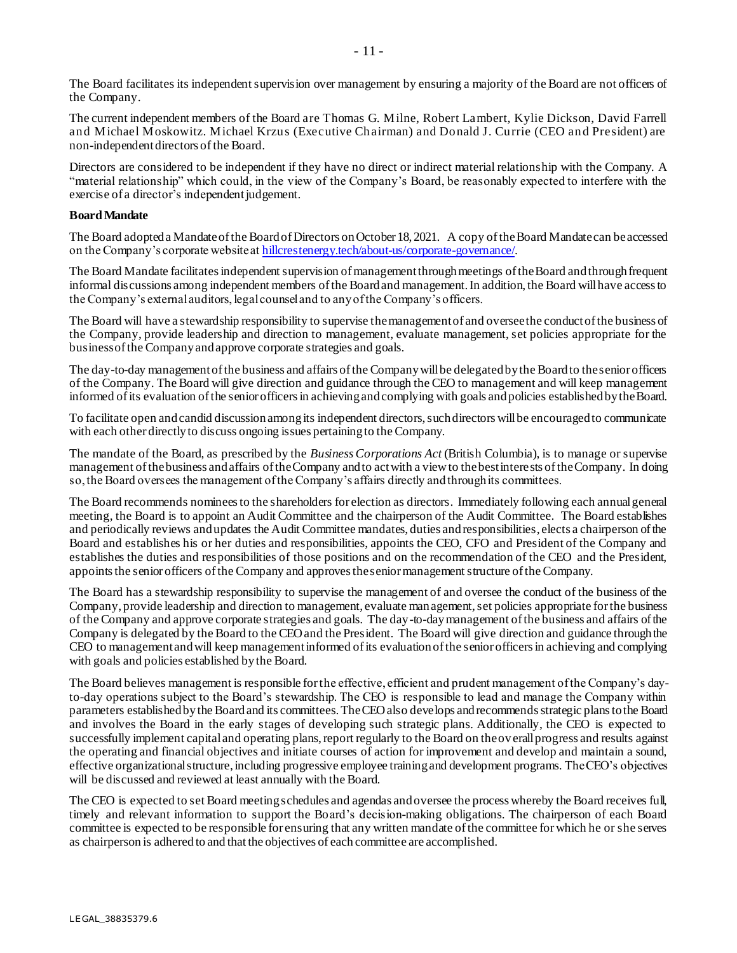The Board facilitates its independent supervision over management by ensuring a majority of the Board are not officers of the Company.

The current independent members of the Board are Thomas G. Milne, Robert Lambert, Kylie Dickson, David Farrell and Michael Moskowitz. Michael Krzus (Executive Chairman) and Donald J. Currie (CEO and President) are non-independent directors of the Board.

Directors are considered to be independent if they have no direct or indirect material relationship with the Company. A "material relationship" which could, in the view of the Company's Board, be reasonably expected to interfere with the exercise of a director's independent judgement.

### **Board Mandate**

The Board adopted a Mandate of the Board of Directors on October 18, 2021. A copy of the Board Mandate can be accessed on the Company's corporate website a[t hillcrestenergy.tech/about-us/corporate-governance/.](http://hillcrestenergy.tech/about-us/corporategovernance/)

The Board Mandate facilitates independent supervision of management through meetings of the Board and through frequent informal discussions among independent members ofthe Boardand management.In addition,the Board willhave accessto the Company's external auditors, legal counsel and to any of the Company's officers.

The Board will have a stewardship responsibility to supervise themanagementof and overseethe conductofthe business of the Company, provide leadership and direction to management, evaluate management, set policies appropriate for the businessofthe Companyandapprove corporate strategies and goals.

The day-to-day management of the business and affairs of the Company will be delegated by the Board to the senior officers of the Company. The Board will give direction and guidance through the CEO to management and will keep management informed ofits evaluation ofthe senior officersin achievingandcomplying with goals andpolicies establishedbytheBoard.

To facilitate open and candid discussion among its independent directors, such directors will be encouraged to communicate with each other directly to discuss ongoing issues pertaining to the Company.

The mandate of the Board, as prescribed by the *Business Corporations Act* (British Columbia), is to manage or supervise management ofthebusiness andaffairs oftheCompany andto actwith a viewto thebestinterests oftheCompany. In doing so,the Board oversees the management ofthe Company's affairs directly andthroughits committees.

The Board recommends nomineesto the shareholders for election as directors. Immediately following each annualgeneral meeting, the Board is to appoint an Audit Committee and the chairperson of the Audit Committee. The Board establishes and periodically reviews andupdates the Audit Committee mandates, duties andresponsibilities, elects a chairperson ofthe Board and establishes his or her duties and responsibilities, appoints the CEO, CFO and President of the Company and establishes the duties and responsibilities of those positions and on the recommendation of the CEO and the President, appoints the senior officers of the Company and approves the senior management structure of the Company.

The Board has a stewardship responsibility to supervise the management of and oversee the conduct of the business of the Company, provide leadership and direction to management, evaluate management,set policies appropriate forthe business of the Company and approve corporate strategies and goals. The day-to-daymanagement ofthe business and affairs ofthe Company is delegated by the Board to the CEOand the President. The Board will give direction and guidance throughthe CEO to managementandwill keep managementinformed ofits evaluationofthe senior officersin achieving and complying with goals and policies established bythe Board.

The Board believes management is responsible forthe effective, efficient and prudent management ofthe Company's dayto-day operations subject to the Board's stewardship. The CEO is responsible to lead and manage the Company within parameters establishedbythe Boardand its committees.TheCEOalso develops andrecommendsstrategic planstothe Board and involves the Board in the early stages of developing such strategic plans. Additionally, the CEO is expected to successfully implement capital and operating plans, report regularly to the Board on theoverall progress and results against the operating and financial objectives and initiate courses of action for improvement and develop and maintain a sound, effective organizational structure, including progressive employee training and development programs. The CEO's objectives will be discussed and reviewed at least annually with the Board.

The CEO is expected to set Board meetingschedules and agendas andoversee the process whereby the Board receives full, timely and relevant information to support the Board's decision-making obligations. The chairperson of each Board committee is expected to be responsible for ensuring that any written mandate ofthe committee forwhich he or she serves as chairperson is adhered to and that the objectives of each committee are accomplished.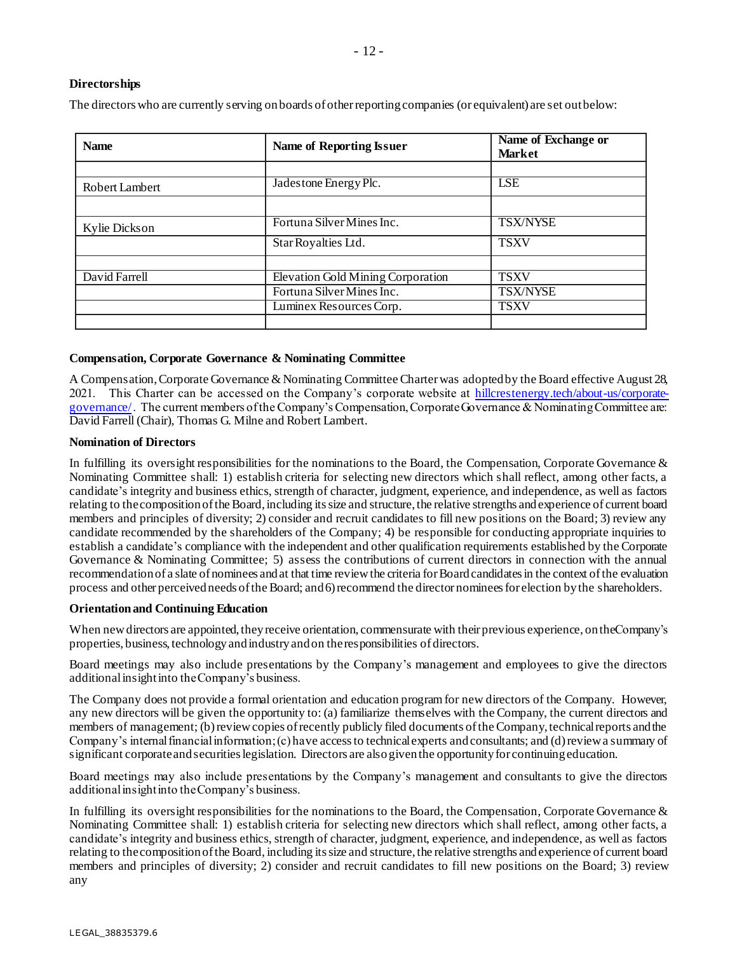# **Directorships**

The directors who are currently serving on boards of other reporting companies (or equivalent) are set out below:

| <b>Name</b>    | <b>Name of Reporting Issuer</b>                                                           |                                               |  |  |
|----------------|-------------------------------------------------------------------------------------------|-----------------------------------------------|--|--|
| Robert Lambert | Jadestone Energy Plc.                                                                     | <b>LSE</b>                                    |  |  |
| Kylie Dickson  | Fortuna Silver Mines Inc.<br>Star Royalties Ltd.                                          | <b>TSX/NYSE</b><br><b>TSXV</b>                |  |  |
| David Farrell  | Elevation Gold Mining Corporation<br>Fortuna Silver Mines Inc.<br>Luminex Resources Corp. | <b>TSXV</b><br><b>TSX/NYSE</b><br><b>TSXV</b> |  |  |
|                |                                                                                           |                                               |  |  |

# **Compensation, Corporate Governance & Nominating Committee**

A Compensation, Corporate Governance & Nominating Committee Charter was adopted by the Board effective August 28, 2021. This Charter can be accessed on the Company's corporate website at [hillcrestenergy.tech/about-us/corporate](http://hillcrestenergy.tech/about-us/corporategovernance/)[governance/](http://hillcrestenergy.tech/about-us/corporategovernance/). The current members of the Company's Compensation, Corporate Governance & Nominating Committee are: David Farrell (Chair), Thomas G. Milne and Robert Lambert.

# **Nomination of Directors**

In fulfilling its oversight responsibilities for the nominations to the Board, the Compensation, Corporate Governance  $\&$ Nominating Committee shall: 1) establish criteria for selecting new directors which shall reflect, among other facts, a candidate's integrity and business ethics, strength of character, judgment, experience, and independence, as well as factors relating to thecompositionofthe Board,including itssize and structure,the relative strengths andexperience of current board members and principles of diversity; 2) consider and recruit candidates to fill new positions on the Board; 3) review any candidate recommended by the shareholders of the Company; 4) be responsible for conducting appropriate inquiries to establish a candidate's compliance with the independent and other qualification requirements established by the Corporate Governance & Nominating Committee; 5) assess the contributions of current directors in connection with the annual recommendation of a slate of nominees and at that time review the criteria for Board candidates in the context of the evaluation process and other perceived needs of the Board; and 6) recommend the director nominees for election by the shareholders.

# **Orientation and Continuing Education**

When new directors are appointed, they receive orientation, commensurate with their previous experience, on the Company's properties, business, technology and industry and on the responsibilities of directors.

Board meetings may also include presentations by the Company's management and employees to give the directors additional insight into the Company's business.

The Company does not provide a formal orientation and education program for new directors of the Company. However, any new directors will be given the opportunity to: (a) familiarize themselves with the Company, the current directors and members of management; (b) review copies of recently publicly filed documents of the Company, technical reports and the Company's internalfinancialinformation;(c) have accessto technicalexperts andconsultants; and (d)reviewa summary of significant corporateandsecuritieslegislation. Directors are alsogiventhe opportunityfor continuingeducation.

Board meetings may also include presentations by the Company's management and consultants to give the directors additional insight into the Company's business.

In fulfilling its oversight responsibilities for the nominations to the Board, the Compensation, Corporate Governance  $\&$ Nominating Committee shall: 1) establish criteria for selecting new directors which shall reflect, among other facts, a candidate's integrity and business ethics, strength of character, judgment, experience, and independence, as well as factors relating to thecompositionofthe Board, including itssize and structure,the relative strengths andexperience of current board members and principles of diversity; 2) consider and recruit candidates to fill new positions on the Board; 3) review any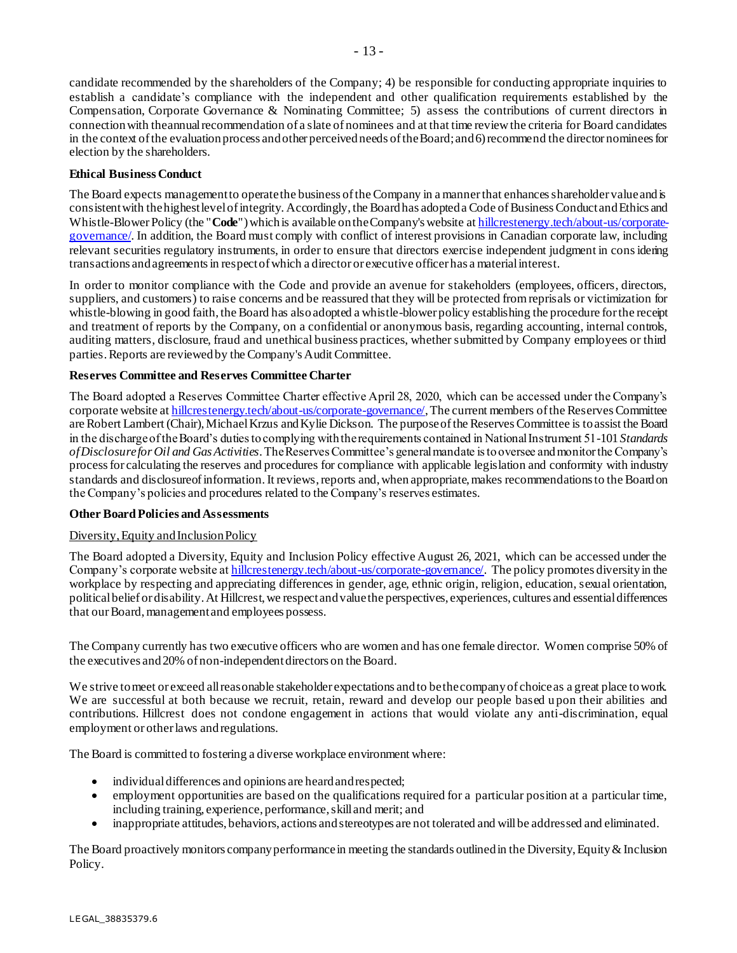candidate recommended by the shareholders of the Company; 4) be responsible for conducting appropriate inquiries to establish a candidate's compliance with the independent and other qualification requirements established by the Compensation, Corporate Governance & Nominating Committee; 5) assess the contributions of current directors in connection with theannual recommendation of a slate of nominees and at that time review the criteria for Board candidates in the context of the evaluation process and other perceived needs of the Board; and 6) recommend the director nominees for election by the shareholders.

# **Ethical Business Conduct**

The Board expects management to operate the business of the Company in a manner that enhances shareholder value and is consistent with the highest level of integrity. Accordingly, the Board has adopted a Code of Business Conduct and Ethics and Whistle-Blower Policy (the "**Code**") which is available on the Company's website [at hillcrestenergy.tech/about-us/corporate](https://hillcrestenergy.tech/about-us/corporate-governance/)[governance/.](https://hillcrestenergy.tech/about-us/corporate-governance/) In addition, the Board must comply with conflict of interest provisions in Canadian corporate law, including relevant securities regulatory instruments, in order to ensure that directors exercise independent judgment in considering transactions and agreements in respect of which a director or executive officer has a material interest.

In order to monitor compliance with the Code and provide an avenue for stakeholders (employees, officers, directors, suppliers, and customers) to raise concerns and be reassured that they will be protected from reprisals or victimization for whistle-blowing in good faith, the Board has also adopted a whistle-blower policy establishing the procedure for the receipt and treatment of reports by the Company, on a confidential or anonymous basis, regarding accounting, internal controls, auditing matters, disclosure, fraud and unethical business practices, whether submitted by Company employees or third parties. Reports are reviewed by the Company's Audit Committee.

# **Reserves Committee and Reserves Committee Charter**

The Board adopted a Reserves Committee Charter effective April 28, 2020, which can be accessed under the Company's corporate website at [hillcrestenergy.tech/about-us/corporate-governance/](https://hillcrestenergy.tech/about-us/corporate-governance/), The current members of the Reserves Committee are Robert Lambert (Chair), Michael Krzus and Kylie Dickson. The purpose of the Reserves Committee is to assist the Board in the discharge of the Board's duties to complying with the requirements contained in National Instrument 51-101 *Standards of Disclosure for Oil and Gas Activities*.The Reserves Committee's general mandate is to oversee and monitor the Company's process for calculating the reserves and procedures for compliance with applicable legislation and conformity with industry standards and disclosureof information.It reviews, reports and, when appropriate, makes recommendations to the Board on the Company's policies and procedures related to the Company's reserves estimates.

# **Other BoardPolicies and Assessments**

# Diversity, Equity and Inclusion Policy

The Board adopted a Diversity, Equity and Inclusion Policy effective August 26, 2021, which can be accessed under the Company's corporate website a[t hillcrestenergy.tech/about-us/corporate-governance/](https://hillcrestenergy.tech/about-us/corporate-governance/). The policy promotes diversity in the workplace by respecting and appreciating differences in gender, age, ethnic origin, religion, education, sexual orientation, political belief or disability. At Hillcrest, we respect and value the perspectives, experiences, cultures and essential differences that our Board, management and employees possess.

The Company currently has two executive officers who are women and has one female director. Women comprise 50% of the executives and 20% of non-independentdirectors on the Board.

We strive to meet or exceed all reasonable stakeholder expectations and to be the company of choice as a great place to work. We are successful at both because we recruit, retain, reward and develop our people based upon their abilities and contributions. Hillcrest does not condone engagement in actions that would violate any anti-discrimination, equal employment or other laws and regulations.

The Board is committed to fostering a diverse workplace environment where:

- individualdifferences and opinions are heard and respected;
- employment opportunities are based on the qualifications required for a particular position at a particular time, including training, experience, performance, skill and merit; and
- inappropriate attitudes, behaviors, actions and stereotypes are not tolerated and will be addressed and eliminated.

The Board proactively monitors company performance in meeting the standards outlined in the Diversity, Equity & Inclusion Policy.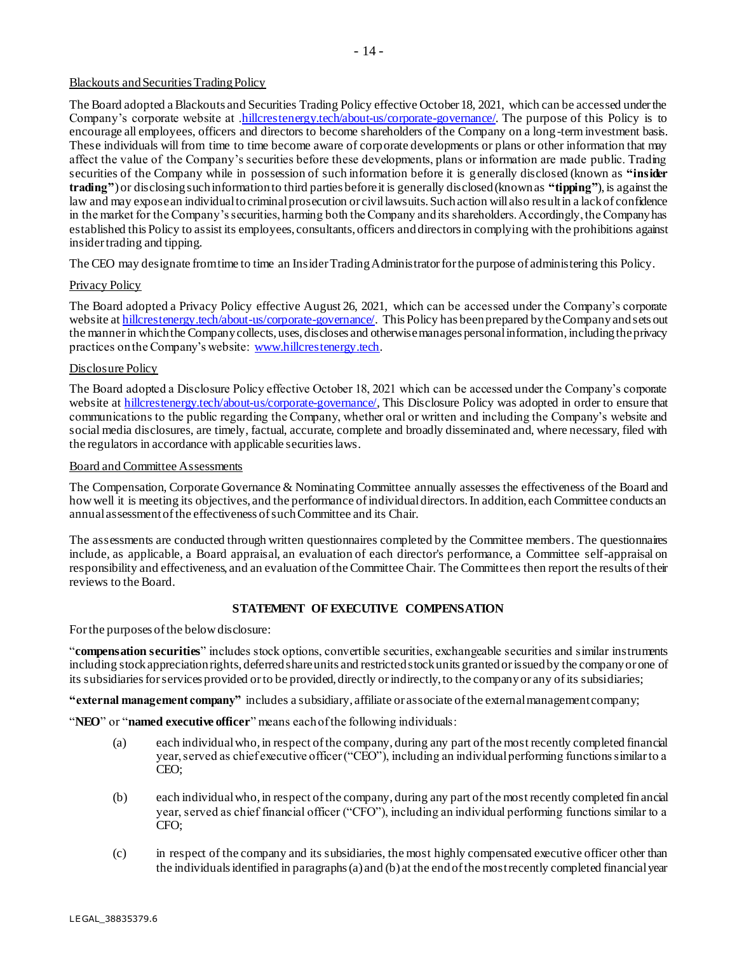# - 14 -

#### Blackouts and Securities Trading Policy

The Board adopted a Blackouts and Securities Trading Policy effective October 18, 2021, which can be accessed under the Company's corporate website at [.hillcrestenergy.tech/about-us/corporate-governance/](https://hillcrestenergy.tech/about-us/corporate-governance/). The purpose of this Policy is to encourage all employees, officers and directors to become shareholders of the Company on a long-term investment basis. These individuals will from time to time become aware of corporate developments or plans or other information that may affect the value of the Company's securities before these developments, plans or information are made public. Trading securities of the Company while in possession of such information before it is generally disclosed (known as **"insider trading"**) or disclosing such information to third parties before it is generally disclosed (known as **"tipping"**), is against the law and may expose an individual to criminal prosecution or civil lawsuits. Such action will also result in a lack of confidence in the market for the Company's securities, harming both the Company and its shareholders. Accordingly, the Company has established this Policy to assist its employees, consultants, officers and directors in complying with the prohibitions against insider trading and tipping.

The CEO may designate from time to time an Insider Trading Administrator for the purpose of administering this Policy.

# Privacy Policy

The Board adopted a Privacy Policy effective August 26, 2021, which can be accessed under the Company's corporate website at hillcrestenergy.tech/about-us/corporate-governance. This Policy has been prepared by the Company and sets out the manner in which the Company collects, uses, discloses and otherwise manages personal information, including the privacy practices on the Company's website: [www.hillcrestenergy.tech](http://www.hillcrestenergy.tech/).

### Disclosure Policy

The Board adopted a Disclosure Policy effective October 18, 2021 which can be accessed under the Company's corporate website at [hillcrestenergy.tech/about-us/corporate-governance/](https://hillcrestenergy.tech/about-us/corporate-governance/). This Disclosure Policy was adopted in order to ensure that communications to the public regarding the Company, whether oral or written and including the Company's website and social media disclosures, are timely, factual, accurate, complete and broadly disseminated and, where necessary, filed with the regulators in accordance with applicable securities laws.

### Board and Committee Assessments

The Compensation, Corporate Governance & Nominating Committee annually assesses the effectiveness of the Board and how well it is meeting its objectives, and the performance of individual directors. In addition, each Committee conducts an annual assessment of the effectiveness of such Committee and its Chair.

The assessments are conducted through written questionnaires completed by the Committee members. The questionnaires include, as applicable, a Board appraisal, an evaluation of each director's performance, a Committee self-appraisal on responsibility and effectiveness, and an evaluation of the Committee Chair. The Committees then report the results of their reviews to the Board.

# **STATEMENT OF EXECUTIVE COMPENSATION**

For the purposes of the below disclosure:

"**compensation securities**" includes stock options, convertible securities, exchangeable securities and similar instruments including stock appreciation rights, deferred share units and restricted stock units granted or issued by the company or one of its subsidiaries for services provided or to be provided, directly or indirectly, to the company or any of its subsidiaries;

**"external management company"** includes a subsidiary, affiliate or associate of the external management company;

"**NEO**" or "**named executive officer**" means each of the following individuals:

- (a) each individual who, in respect of the company, during any part of the most recently completed financial year, served as chief executive officer ("CEO"), including an individual performing functions similar to a CEO;
- (b) each individual who, in respect of the company, during any part of the most recently completed fin ancial year, served as chief financial officer ("CFO"), including an individual performing functions similar to a CFO;
- (c) in respect of the company and its subsidiaries, the most highly compensated executive officer other than the individuals identified in paragraphs (a) and (b) at the end of the most recently completed financial year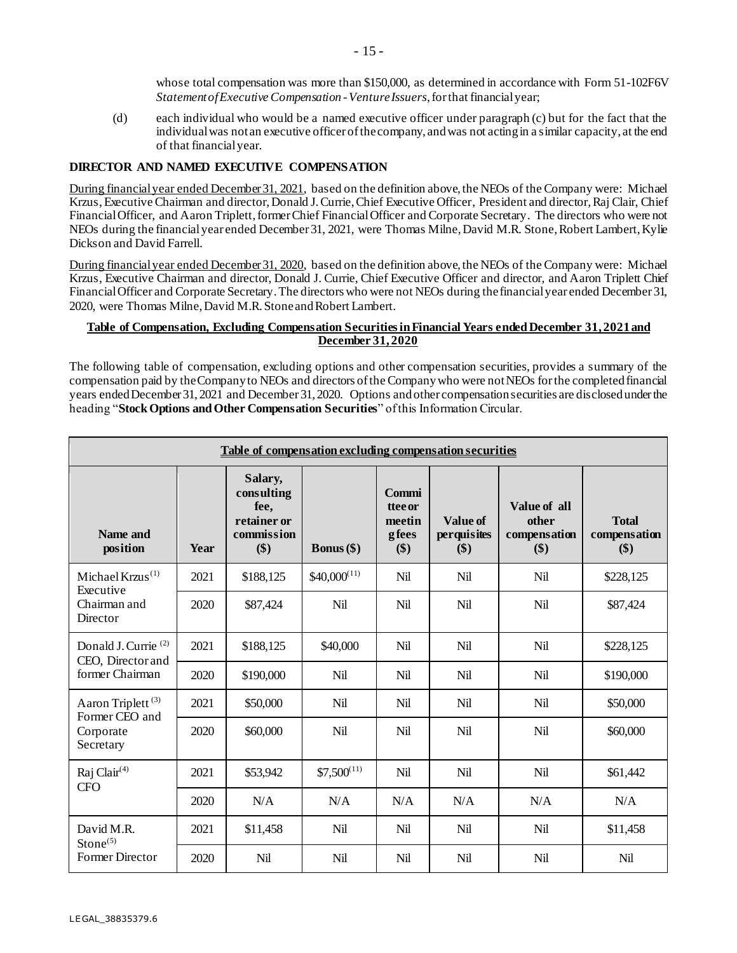whose total compensation was more than \$150,000, as determined in accordance with Form 51-102F6V *Statement of Executive Compensation -Venture Issuers*, for that financial year;

(d) each individual who would be a named executive officer under paragraph (c) but for the fact that the individual was not an executive officer of the company, and was not acting in a similar capacity, at the end of that financial year.

# **DIRECTOR AND NAMED EXECUTIVE COMPENSATION**

During financial year ended December 31, 2021, based on the definition above, the NEOs of the Company were: Michael Krzus, Executive Chairman and director, Donald J. Currie, Chief Executive Officer, President and director, Raj Clair, Chief Financial Officer, and Aaron Triplett, former Chief Financial Officer and Corporate Secretary. The directors who were not NEOs during the financial year ended December 31, 2021, were Thomas Milne, David M.R. Stone, Robert Lambert, Kylie Dickson and David Farrell.

During financial year ended December 31, 2020, based on the definition above, the NEOs of the Company were: Michael Krzus, Executive Chairman and director, Donald J. Currie, Chief Executive Officer and director, and Aaron Triplett Chief Financial Officer and Corporate Secretary. The directors who were not NEOs during the financial year ended December 31, 2020, were Thomas Milne, David M.R. Stone and Robert Lambert.

### **Table of Compensation, Excluding Compensation Securities in Financial Years ended December 31, 2021 and December 31, 2020**

The following table of compensation, excluding options and other compensation securities, provides a summary of the compensation paid by the Company to NEOs and directors of the Company who were not NEOs for the completed financial years ended December 31, 2021 and December 31, 2020. Options and other compensation securities are disclosed under the heading "**Stock Options and Other Compensation Securities**" of this Information Circular.

| Table of compensation excluding compensation securities |      |                                                                   |                     |                                                   |                                |                                              |                                     |  |
|---------------------------------------------------------|------|-------------------------------------------------------------------|---------------------|---------------------------------------------------|--------------------------------|----------------------------------------------|-------------------------------------|--|
| Name and<br>position                                    | Year | Salary,<br>consulting<br>fee,<br>retainer or<br>commission<br>\$) | <b>Bonus</b> $(\$)$ | Commi<br><b>ttee or</b><br>meetin<br>gfees<br>\$) | Value of<br>perquisites<br>\$) | Value of all<br>other<br>compensation<br>\$) | <b>Total</b><br>compensation<br>\$) |  |
| Michael Krzus <sup>(1)</sup><br>Executive               | 2021 | \$188,125                                                         | $$40,000^{(11)}$    | Nil                                               | Nil                            | Nil                                          | \$228,125                           |  |
| Chairman and<br>Director                                | 2020 | \$87,424                                                          | Nil                 | <b>Nil</b>                                        | Nil                            | Nil                                          | \$87,424                            |  |
| Donald J. Currie <sup>(2)</sup><br>CEO, Director and    | 2021 | \$188,125                                                         | \$40,000            | Nil                                               | Nil                            | Nil                                          | \$228,125                           |  |
| former Chairman                                         | 2020 | \$190,000                                                         | Nil                 | Nil                                               | Nil                            | Nil                                          | \$190,000                           |  |
| Aaron Triplett <sup>(3)</sup><br>Former CEO and         | 2021 | \$50,000                                                          | Nil                 | Nil                                               | Nil                            | Nil                                          | \$50,000                            |  |
| Corporate<br>Secretary                                  | 2020 | \$60,000                                                          | Nil                 | <b>Nil</b>                                        | Nil                            | Nil                                          | \$60,000                            |  |
| Raj Clair <sup>(4)</sup><br><b>CFO</b>                  | 2021 | \$53,942                                                          | $$7,500^{(11)}$     | Nil                                               | Nil                            | Nil                                          | \$61,442                            |  |
|                                                         | 2020 | N/A                                                               | N/A                 | N/A                                               | N/A                            | N/A                                          | N/A                                 |  |
| David M.R.<br>Stone <sup>(5)</sup>                      | 2021 | \$11,458                                                          | Nil                 | <b>Nil</b>                                        | Nil                            | Nil                                          | \$11,458                            |  |
| <b>Former Director</b>                                  | 2020 | Nil                                                               | Nil                 | Nil                                               | Nil                            | Nil                                          | Nil                                 |  |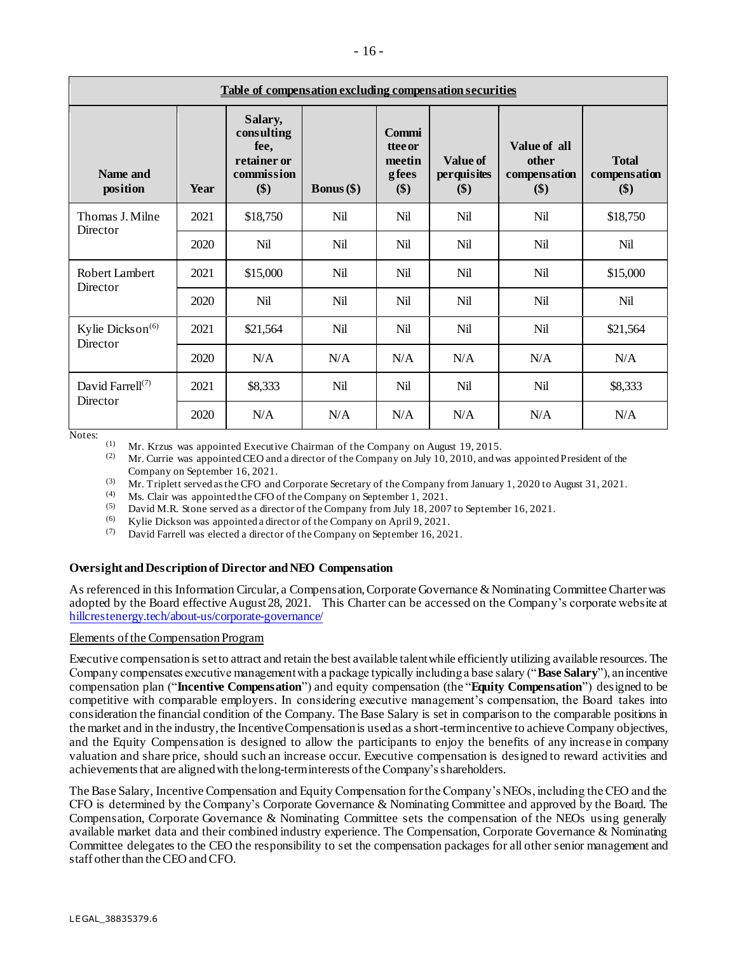| Table of compensation excluding compensation securities |      |                                                                   |                     |                                                   |                                       |                                              |                                     |  |
|---------------------------------------------------------|------|-------------------------------------------------------------------|---------------------|---------------------------------------------------|---------------------------------------|----------------------------------------------|-------------------------------------|--|
| Name and<br>position                                    | Year | Salary,<br>consulting<br>fee,<br>retainer or<br>commission<br>\$) | <b>Bonus</b> $(\$)$ | Commi<br><b>ttee or</b><br>meetin<br>gfees<br>\$) | <b>Value of</b><br>perquisites<br>\$) | Value of all<br>other<br>compensation<br>\$) | <b>Total</b><br>compensation<br>\$) |  |
| Thomas J. Milne<br>Director                             | 2021 | \$18,750                                                          | Nil                 | Nil                                               | Nil                                   | Nil                                          | \$18,750                            |  |
|                                                         | 2020 | Nil                                                               | Nil                 | Nil                                               | Nil                                   | Nil                                          | Nil                                 |  |
| Robert Lambert<br>Director                              | 2021 | \$15,000                                                          | Nil                 | Nil                                               | Nil                                   | Nil                                          | \$15,000                            |  |
|                                                         | 2020 | Nil                                                               | Nil                 | Nil                                               | Nil                                   | Nil                                          | Nil                                 |  |
| Kylie Dickson <sup>(6)</sup>                            | 2021 | \$21,564                                                          | Nil                 | Nil                                               | Nil                                   | Nil                                          | \$21,564                            |  |
| Director                                                | 2020 | N/A                                                               | N/A                 | N/A                                               | N/A                                   | N/A                                          | N/A                                 |  |
| David Farrell <sup>(7)</sup><br>Director                | 2021 | \$8,333                                                           | Nil                 | Nil                                               | Nil                                   | Nil                                          | \$8,333                             |  |
|                                                         | 2020 | N/A                                                               | N/A                 | N/A                                               | N/A                                   | N/A                                          | N/A                                 |  |

Notes:

(1) Mr. Krzus was appointed Executive Chairman of the Company on August 19, 2015.<br>(2) Mr. Currie was appointed CEO and a director of the Company on July 10, 2010, and was

Mr. Currie was appointed CEO and a director of the Company on July 10, 2010, and was appointed President of the Company on September 16, 2021.

(3) Mr. Triplett served as the CFO and Corporate Secretary of the Company from January 1, 2020 to August 31, 2021.

(4) Ms. Clair was appointed the CFO of the Company on September 1, 2021.<br>(5) David M P, Stone served as a director of the Company from July 18, 2007.

David M.R. Stone served as a director of the Company from July 18, 2007 to September 16, 2021.

(6) Kylie Dickson was appointed a director of the Company on April 9, 2021.

(7) David Farrell was elected a director of the Company on September 16, 2021.

# **Oversight and Description of Director and NEO Compensation**

As referenced in this Information Circular, a Compensation, Corporate Governance & Nominating Committee Charter was adopted by the Board effective August 28, 2021. This Charter can be accessed on the Company's corporate website at [hillcrestenergy.tech/about-us/corporate-governance/](https://hillcrestenergy.tech/about-us/corporate-governance/)

#### Elements ofthe Compensation Program

Executive compensationis setto attract and retain the best available talentwhile efficiently utilizing available resources. The Company compensates executive managementwith a package typically includinga base salary ("**Base Salary**"), anincentive compensation plan ("**Incentive Compensation**") and equity compensation (the "**Equity Compensation**") designed to be competitive with comparable employers. In considering executive management's compensation, the Board takes into consideration the financial condition of the Company. The Base Salary is set in comparison to the comparable positions in the market and in the industry, the Incentive Compensation is used as a short-termincentive to achieve Company objectives, and the Equity Compensation is designed to allow the participants to enjoy the benefits of any increase in company valuation and share price, should such an increase occur. Executive compensation is designed to reward activities and achievements that are aligned with the long-term interests of the Company's shareholders.

The Base Salary, Incentive Compensation and Equity Compensation forthe Company's NEOs,including the CEO and the CFO is determined by the Company's Corporate Governance & Nominating Committee and approved by the Board. The Compensation, Corporate Governance & Nominating Committee sets the compensation of the NEOs using generally available market data and their combined industry experience. The Compensation, Corporate Governance & Nominating Committee delegates to the CEO the responsibility to set the compensation packages for all other senior management and staff other than the CEO and CFO.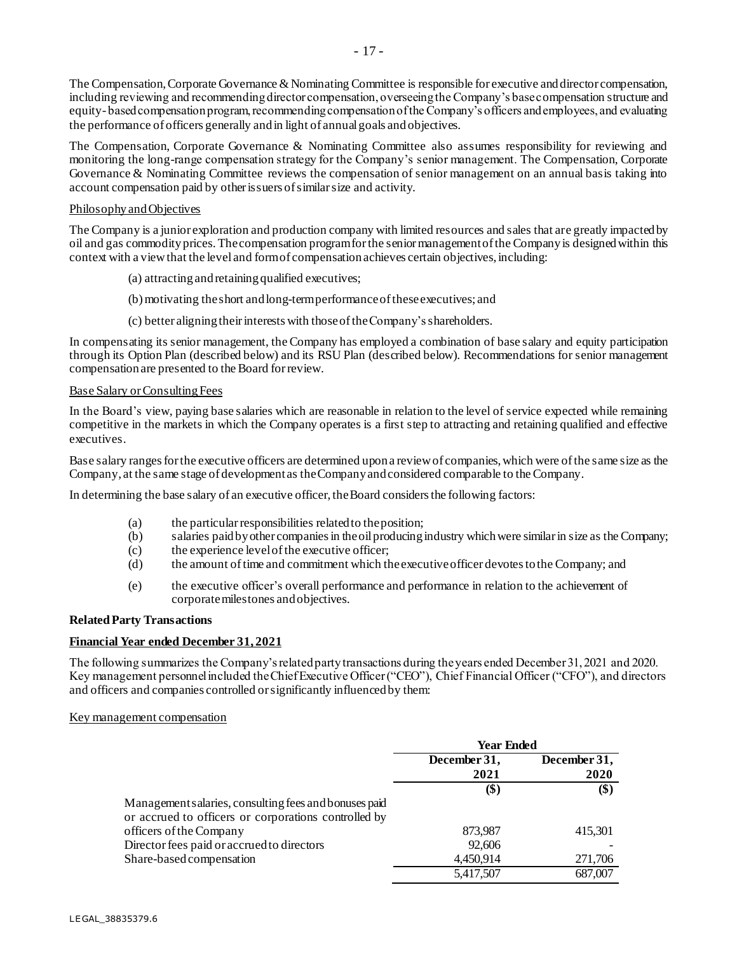The Compensation, Corporate Governance & Nominating Committee is responsible for executive and director compensation, including reviewing and recommending director compensation, overseeing the Company's base compensation structure and equity- based compensation program, recommending compensation of the Company's officers and employees, and evaluating the performance of officers generally andin light of annualgoals and objectives.

The Compensation, Corporate Governance & Nominating Committee also assumes responsibility for reviewing and monitoring the long-range compensation strategy for the Company's senior management. The Compensation, Corporate Governance & Nominating Committee reviews the compensation of senior management on an annual basis taking into account compensation paid by otherissuers of similarsize and activity.

### Philosophy andObjectives

The Company is a junior exploration and production company with limited resources and sales that are greatly impacted by oil and gas commodity prices. The compensation program for the senior management of the Company is designed within this context with a view that the level and formof compensation achieves certain objectives, including:

- (a) attractingandretainingqualified executives;
- (b)motivating theshort andlong-termperformanceoftheseexecutives; and
- (c) better aligningtheirinterests with thoseoftheCompany'sshareholders.

In compensating its senior management, the Company has employed a combination of base salary and equity participation through its Option Plan (described below) and its RSU Plan (described below). Recommendations for senior management compensation are presented to the Board forreview.

#### Base Salary or Consulting Fees

In the Board's view, paying base salaries which are reasonable in relation to the level of service expected while remaining competitive in the markets in which the Company operates is a first step to attracting and retaining qualified and effective executives.

Base salary ranges for the executive officers are determined upon a review of companies, which were of the same size as the Company, at the same stage of development as the Company and considered comparable to the Company.

In determining the base salary of an executive officer, the Board considers the following factors:

- (a) the particularresponsibilities relatedto theposition;
- (b) salaries paidbyother companiesin theoilproducingindustry whichwere similarin size as the Company;
- (c) the experience level ofthe executive officer;
- (d) the amount oftime and commitment which theexecutiveofficer devotestothe Company; and
- (e) the executive officer's overall performance and performance in relation to the achievement of corporatemilestones and objectives.

# **Related Party Transactions**

# **Financial Year ended December 31, 2021**

The following summarizes the Company's related party transactions during the years ended December 31, 2021 and 2020. Key management personnel included the Chief Executive Officer ("CEO"), Chief Financial Officer ("CFO"), and directors and officers and companies controlled or significantly influenced by them:

#### Key management compensation

|                                                       | <b>Year Ended</b> |              |
|-------------------------------------------------------|-------------------|--------------|
|                                                       | December 31,      | December 31, |
|                                                       | 2021              | 2020         |
|                                                       | (\$)              | \$)          |
| Management salaries, consulting fees and bonuses paid |                   |              |
| or accrued to officers or corporations controlled by  |                   |              |
| officers of the Company                               | 873,987           | 415,301      |
| Director fees paid or accrued to directors            | 92,606            |              |
| Share-based compensation                              | 4,450,914         | 271,706      |
|                                                       | 5,417,507         | 687,007      |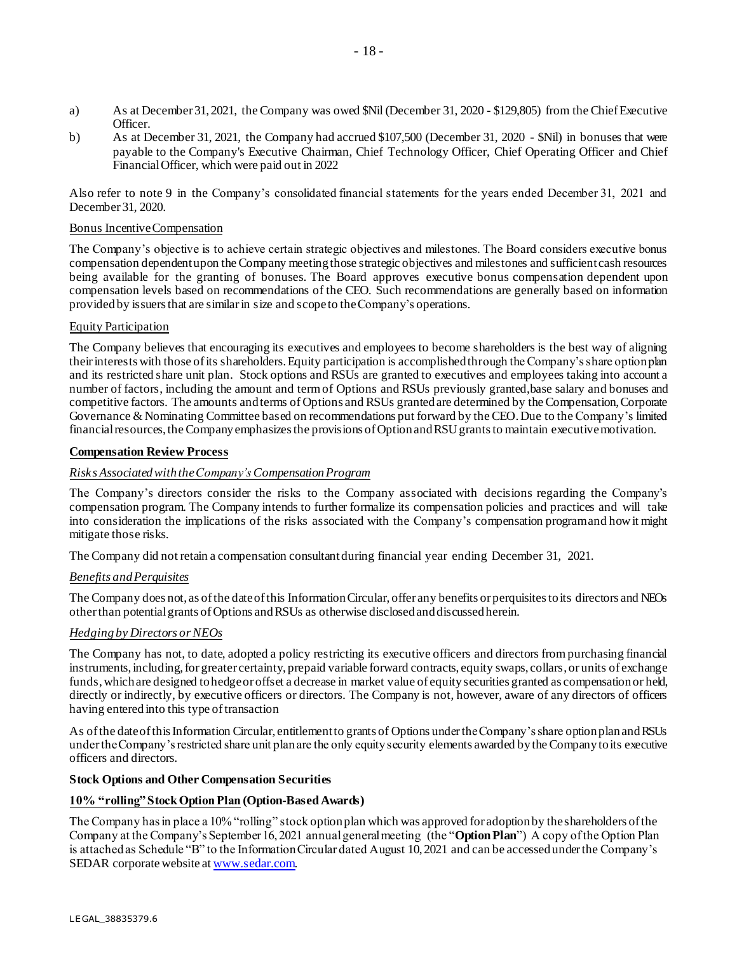- a) As at December 31, 2021, the Company was owed \$Nil (December 31, 2020 \$129,805) from the Chief Executive Officer.
- b) As at December 31, 2021, the Company had accrued \$107,500 (December 31, 2020 \$Nil) in bonuses that were payable to the Company's Executive Chairman, Chief Technology Officer, Chief Operating Officer and Chief Financial Officer, which were paid out in 2022

Also refer to note 9 in the Company's consolidated financial statements for the years ended December 31, 2021 and December 31, 2020.

### Bonus Incentive Compensation

The Company's objective is to achieve certain strategic objectives and milestones. The Board considers executive bonus compensation dependentupon the Company meetingthose strategic objectives and milestones and sufficientcash resources being available for the granting of bonuses. The Board approves executive bonus compensation dependent upon compensation levels based on recommendations of the CEO. Such recommendations are generally based on information provided by issuersthat are similarin size and scopeto theCompany's operations.

### Equity Participation

The Company believes that encouraging its executives and employees to become shareholders is the best way of aligning theirinterests with those ofits shareholders.Equity participation is accomplishedthrough the Company'sshare optionplan and its restricted share unit plan. Stock options and RSUs are granted to executives and employees taking into account a number of factors, including the amount and term of Options and RSUs previously granted,base salary and bonuses and competitive factors. The amounts and terms of Options and RSUs granted are determined by the Compensation, Corporate Governance & Nominating Committee based on recommendations put forward by the CEO. Due to the Company's limited financial resources, the Company emphasizes the provisions of Option and RSU grants to maintain executive motivation.

### **Compensation Review Process**

### *Risks Associated with the Company'sCompensation Program*

The Company's directors consider the risks to the Company associated with decisions regarding the Company's compensation program. The Company intends to further formalize its compensation policies and practices and will take into consideration the implications of the risks associated with the Company's compensation programand howit might mitigate those risks.

The Company did not retain a compensation consultant during financial year ending December 31, 2021.

#### *Benefits andPerquisites*

The Company does not, as of the date of this Information Circular, offer any benefits or perquisites to its directors and NEOs other than potential grants of Options and RSUs as otherwise disclosed and discussed herein.

#### *Hedging by Directors orNEOs*

The Company has not, to date, adopted a policy restricting its executive officers and directors from purchasing financial instruments, including, for greater certainty, prepaid variable forward contracts, equity swaps, collars, or units of exchange funds, which are designed to hedge or offset a decrease in market value of equity securities granted as compensation or held, directly or indirectly, by executive officers or directors. The Company is not, however, aware of any directors of officers having entered into this type of transaction

As of the date of this Information Circular, entitlement to grants of Options under the Company's share option plan and RSUs under the Company's restricted share unit plan are the only equity security elements awarded by the Company to its executive officers and directors.

#### **Stock Options and Other Compensation Securities**

# **10% "rolling" Stock Option Plan (Option-Based Awards)**

The Company has in place a 10% "rolling" stock option plan which was approved for adoption by the shareholders of the Company at the Company's September 16, 2021 annualgeneralmeeting (the "**OptionPlan**") A copy ofthe Option Plan is attachedas Schedule "B" to the InformationCircular dated August 10, 2021 and can be accessedunderthe Company's SEDAR corporate website [at www.sedar.com.](http://www.sedar.com/)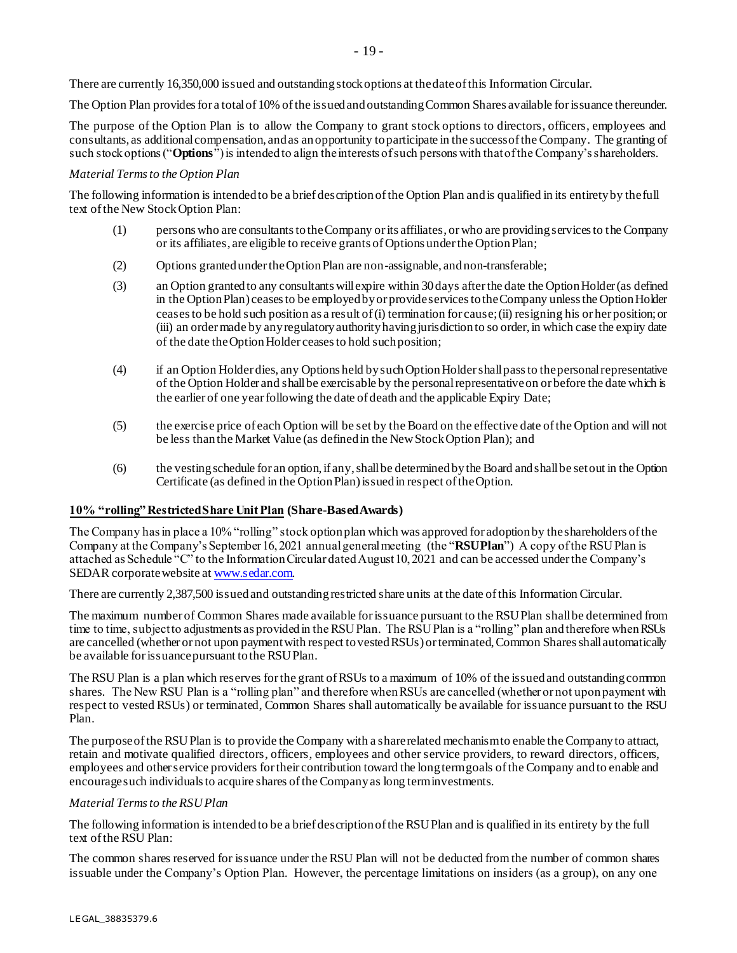There are currently 16,350,000 issued and outstanding stock options at the date of this Information Circular.

The Option Plan provides for a total of 10% of the issued and outstanding Common Shares available for issuance thereunder.

The purpose of the Option Plan is to allow the Company to grant stock options to directors, officers, employees and consultants, as additional compensation, and as an opportunity to participate in the success of the Company. The granting of such stock options ("**Options**") is intended to align the interests of such persons with that of the Company's shareholders.

### *Material Termsto the Option Plan*

The following information is intended to be a brief description of the Option Plan and is qualified in its entirety by the full text of the New Stock Option Plan:

- (1) persons who are consultants to the Company or its affiliates, or who are providing services to the Company or its affiliates, are eligible to receive grants of Options under the Option Plan;
- (2) Options granted under the Option Plan are non-assignable, and non-transferable;
- (3) an Option granted to any consultants will expire within 30 days after the date the Option Holder (as defined in the Option Plan) ceases to be employed by or provide services to the Company unless the Option Holder ceases to be hold such position as a result of (i) termination for cause; (ii) resigning his or her position; or (iii) an order made by any regulatory authority having jurisdiction to so order, in which case the expiry date of the date the Option Holder ceases to hold such position;
- (4) if an Option Holder dies, any Options held by such Option Holder shall pass to the personal representative of the Option Holder and shall be exercisable by the personal representative on or before the date which is the earlier of one year following the date of death and the applicable Expiry Date;
- (5) the exercise price of each Option will be set by the Board on the effective date of the Option and will not be less than the Market Value (as defined in the New Stock Option Plan); and
- (6) the vesting schedule for an option, if any, shall be determined by the Board and shall be set out in the Option Certificate (as defined in the Option Plan) issued in respect of the Option.

#### **10% "rolling" Restricted Share Unit Plan (Share-Based Awards)**

The Company has in place a 10% "rolling" stock option plan which was approved for adoption by the shareholders of the Company at the Company's September 16, 2021 annual general meeting (the "**RSU Plan**") A copy of the RSU Plan is attached as Schedule "C" to the Information Circular dated August 10, 2021 and can be accessed under the Company's SEDAR corporate website a[t www.sedar.com.](http://www.sedar.com/)

There are currently 2,387,500 issued and outstanding restricted share units at the date of this Information Circular.

The maximum number of Common Shares made available forissuance pursuant to the RSUPlan shallbe determined from time to time, subjectto adjustments as providedin the RSUPlan. The RSUPlan is a "rolling" plan andtherefore whenRSUs are cancelled (whether or not upon payment with respect to vested RSUs) or terminated, Common Shares shall automatically be available forissuancepursuant tothe RSUPlan.

The RSU Plan is a plan which reserves forthe grant ofRSUs to a maximum of 10% of the issuedand outstandingcommon shares. The New RSU Plan is a "rolling plan" and therefore whenRSUs are cancelled (whether or not uponpayment with respect to vested RSUs) or terminated, Common Shares shall automatically be available for issuance pursuant to the RSU Plan.

The purposeofthe RSUPlan is to provide the Company with a sharerelated mechanismto enable the Companyto attract, retain and motivate qualified directors, officers, employees and other service providers, to reward directors, officers, employees and otherservice providers fortheir contribution toward the longtermgoals ofthe Company andto enable and encouragesuch individualsto acquire shares ofthe Companyas long terminvestments.

#### *Material Terms to the RSU Plan*

The following information is intended to be a brief description of the RSU Plan and is qualified in its entirety by the full text of the RSU Plan:

The common shares reserved for issuance under the RSU Plan will not be deducted from the number of common shares issuable under the Company's Option Plan. However, the percentage limitations on insiders (as a group), on any one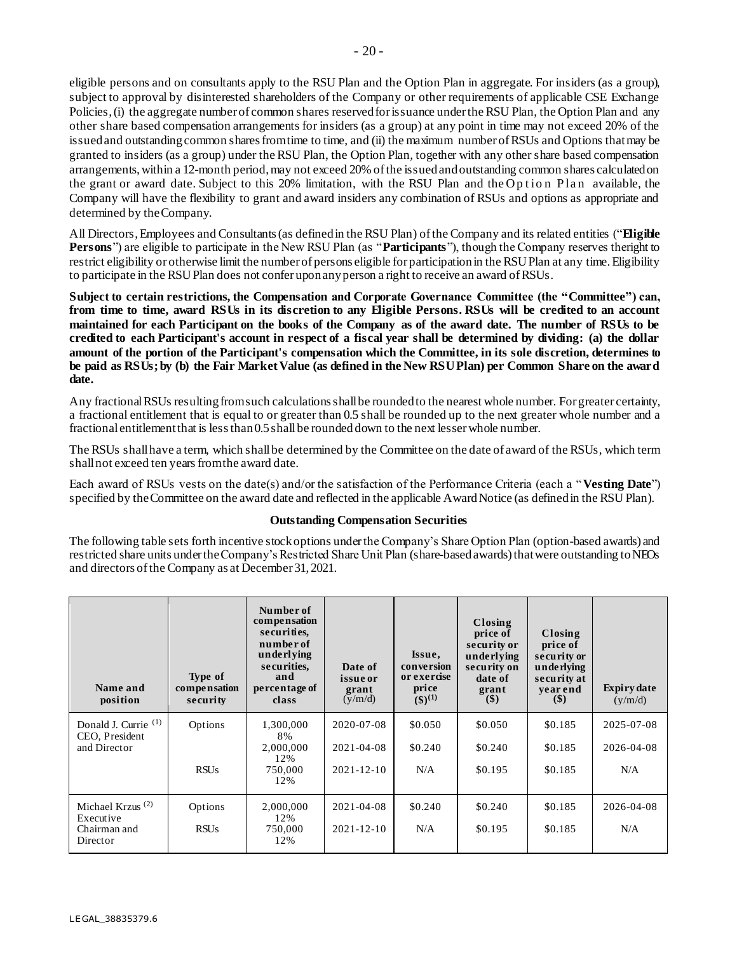eligible persons and on consultants apply to the RSU Plan and the Option Plan in aggregate. For insiders (as a group), subject to approval by disinterested shareholders of the Company or other requirements of applicable CSE Exchange Policies, (i) the aggregate number of common shares reserved for issuance under the RSU Plan, the Option Plan and any other share based compensation arrangements for insiders (as a group) at any point in time may not exceed 20% of the issued and outstanding common shares from time to time, and (ii) the maximum number of RSUs and Options that may be granted to insiders (as a group) under the RSU Plan, the Option Plan, together with any other share based compensation arrangements, within a 12-month period, may not exceed 20% of the issued and outstanding common shares calculated on the grant or award date. Subject to this 20% limitation, with the RSU Plan and the Option Plan available, the Company will have the flexibility to grant and award insiders any combination of RSUs and options as appropriate and determined by the Company.

All Directors, Employees and Consultants (as defined in the RSU Plan) of the Company and its related entities ("**Eligible Persons**") are eligible to participate in the New RSU Plan (as "**Participants**"), though the Company reserves theright to restrict eligibility or otherwise limit the number of persons eligible for participation in the RSU Plan at any time. Eligibility to participate in the RSU Plan does not confer upon any person a right to receive an award of RSUs.

**Subject to certain restrictions, the Compensation and Corporate Governance Committee (the "Committee") can, from time to time, award RSUs in its discretion to any Eligible Persons. RSUs will be credited to an account maintained for each Participant on the books of the Company as of the award date. The number of RSUs to be credited to each Participant's account in respect of a fiscal year shall be determined by dividing: (a) the dollar** amount of the portion of the Participant's compensation which the Committee, in its sole discretion, determines to **be paid as RSUs; by (b) the Fair Market Value (as defined in the New RSU Plan) per Common Share on the award date.** 

Any fractional RSUs resulting from such calculations shall be rounded to the nearest whole number. For greater certainty, a fractional entitlement that is equal to or greater than 0.5 shall be rounded up to the next greater whole number and a fractional entitlementthat is lessthan0.5 shallbe rounded down to the next lesserwhole number.

The RSUs shall have a term, which shall be determined by the Committee on the date of award of the RSUs, which term shall not exceed ten years from the award date.

Each award of RSUs vests on the date(s) and/or the satisfaction of the Performance Criteria (each a "**Vesting Date**") specified by the Committee on the award date and reflected in the applicable Award Notice (as defined in the RSU Plan).

# **Outstanding Compensation Securities**

The following table sets forth incentive stock options under the Company's Share Option Plan (option-based awards) and restricted share units under the Company's Restricted Share Unit Plan (share-based awards) thatwere outstanding toNEOs and directors of the Company as at December 31, 2021.

| Name and<br>position                   | Type of<br>compensation<br>security | Number of<br>compensation<br>securities,<br>number of<br>underlying<br>securities,<br>and<br>percentage of<br>class | Date of<br>issue or<br>grant<br>(y/m/d) | Issue,<br>conversion<br>or exercise<br>price<br>$(3)^{(1)}$ | Closing<br>price of<br>security or<br>underlying<br>security on<br>date of<br>grant<br>$($ \$) | Closing<br>price of<br>security or<br>underlying<br>security at<br>vearend<br>(S) | <b>Expiry date</b><br>(y/m/d) |
|----------------------------------------|-------------------------------------|---------------------------------------------------------------------------------------------------------------------|-----------------------------------------|-------------------------------------------------------------|------------------------------------------------------------------------------------------------|-----------------------------------------------------------------------------------|-------------------------------|
| Donald J. Currie (1)<br>CEO, President | Options                             | 1,300,000<br>8%                                                                                                     | 2020-07-08                              | \$0.050                                                     | \$0.050                                                                                        | \$0.185                                                                           | 2025-07-08                    |
| and Director                           |                                     | 2,000,000<br>12%                                                                                                    | $2021 - 04 - 08$                        | \$0.240                                                     | \$0.240                                                                                        | \$0.185                                                                           | 2026-04-08                    |
|                                        | <b>RSUs</b>                         | 750,000<br>12%                                                                                                      | $2021 - 12 - 10$                        | N/A                                                         | \$0.195                                                                                        | \$0.185                                                                           | N/A                           |
| Michael Krzus <sup>(2)</sup>           | Options                             | 2,000,000                                                                                                           | 2021-04-08                              | \$0.240                                                     | \$0.240                                                                                        | \$0.185                                                                           | 2026-04-08                    |
| Executive<br>Chairman and<br>Director  | <b>RSUs</b>                         | 12%<br>750,000<br>12%                                                                                               | $2021 - 12 - 10$                        | N/A                                                         | \$0.195                                                                                        | \$0.185                                                                           | N/A                           |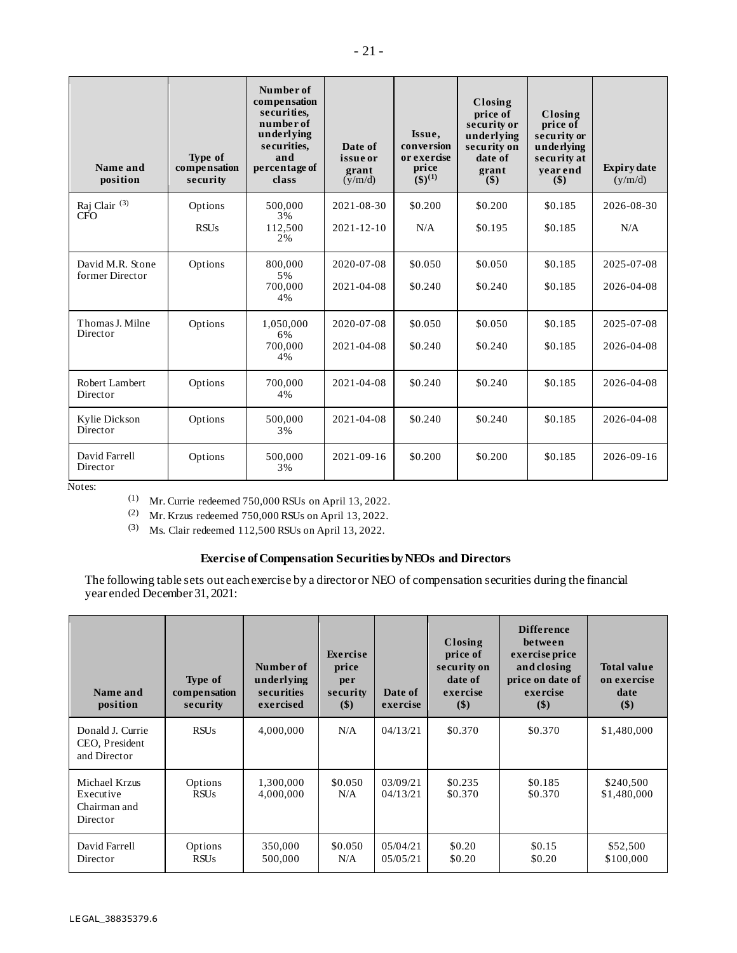| Name and<br>position                   | Type of<br>compensation<br>security | Number of<br>compensation<br>securities,<br>number of<br>underlying<br>securities,<br>and<br>percentage of<br>class | Date of<br>issue or<br>grant<br>(y/m/d) | Issue,<br>conversion<br>or exercise<br>price<br>$(3)^{(1)}$ | Closing<br>price of<br>security or<br>underlying<br>security on<br>date of<br>grant<br>\$) | Closing<br>price of<br>security or<br>underlying<br>security at<br>vearend<br>\$) | <b>Expiry date</b><br>(y/m/d) |
|----------------------------------------|-------------------------------------|---------------------------------------------------------------------------------------------------------------------|-----------------------------------------|-------------------------------------------------------------|--------------------------------------------------------------------------------------------|-----------------------------------------------------------------------------------|-------------------------------|
| Raj Clair <sup>(3)</sup><br><b>CFO</b> | Options                             | 500,000<br>3%                                                                                                       | 2021-08-30                              | \$0.200                                                     | \$0.200                                                                                    | \$0.185                                                                           | 2026-08-30                    |
|                                        | <b>RSUs</b>                         | 112,500<br>2%                                                                                                       | $2021 - 12 - 10$                        | N/A                                                         | \$0.195                                                                                    | \$0.185                                                                           | N/A                           |
| David M.R. Stone<br>former Director    | Options                             | 800,000<br>5%                                                                                                       | 2020-07-08                              | \$0.050                                                     | \$0.050                                                                                    | \$0.185                                                                           | 2025-07-08                    |
|                                        |                                     | 700,000<br>4%                                                                                                       | 2021-04-08                              | \$0.240                                                     | \$0.240                                                                                    | \$0.185                                                                           | 2026-04-08                    |
| Thomas J. Milne<br>Director            | Options                             | 1,050,000<br>6%                                                                                                     | 2020-07-08                              | \$0.050                                                     | \$0.050                                                                                    | \$0.185                                                                           | 2025-07-08                    |
|                                        |                                     | 700,000<br>4%                                                                                                       | 2021-04-08                              | \$0.240                                                     | \$0.240                                                                                    | \$0.185                                                                           | 2026-04-08                    |
| Robert Lambert<br>Director             | Options                             | 700,000<br>4%                                                                                                       | 2021-04-08                              | \$0.240                                                     | \$0.240                                                                                    | \$0.185                                                                           | 2026-04-08                    |
| Kylie Dickson<br>Director              | Options                             | 500,000<br>3%                                                                                                       | 2021-04-08                              | \$0.240                                                     | \$0.240                                                                                    | \$0.185                                                                           | 2026-04-08                    |
| David Farrell<br>Director              | Options                             | 500,000<br>3%                                                                                                       | $2021 - 09 - 16$                        | \$0.200                                                     | \$0.200                                                                                    | \$0.185                                                                           | 2026-09-16                    |

Notes:

(1) Mr. Currie redeemed 750,000 RSUs on April 13, 2022.

(2) Mr. Krzus redeemed 750,000 RSUs on April 13, 2022.

(3) Ms. Clair redeemed 112,500 RSUs on April 13, 2022.

# **Exercise ofCompensation Securities byNEOs and Directors**

The following table sets out each exercise by a director or NEO of compensation securities during the financial year ended December 31, 2021:

| Name and<br>position                                   | Type of<br>compensation<br>security | Number of<br>underlying<br>securities<br>exercised | Exercise<br>price<br>per<br>security<br>$(\$)$ | Date of<br>exercise  | Closing<br>price of<br>security on<br>date of<br>exercise<br>$(\$)$ | <b>Difference</b><br>between<br>exercise price<br>and closing<br>price on date of<br>exercise<br>$(\$)$ | <b>Total value</b><br>on exercise<br>date<br>\$) |
|--------------------------------------------------------|-------------------------------------|----------------------------------------------------|------------------------------------------------|----------------------|---------------------------------------------------------------------|---------------------------------------------------------------------------------------------------------|--------------------------------------------------|
| Donald J. Currie<br>CEO, President<br>and Director     | <b>RSUs</b>                         | 4,000,000                                          | N/A                                            | 04/13/21             | \$0.370                                                             | \$0.370                                                                                                 | \$1,480,000                                      |
| Michael Krzus<br>Executive<br>Chairman and<br>Director | Options<br><b>RSUs</b>              | 1,300,000<br>4,000,000                             | \$0.050<br>N/A                                 | 03/09/21<br>04/13/21 | \$0.235<br>\$0.370                                                  | \$0.185<br>\$0.370                                                                                      | \$240,500<br>\$1,480,000                         |
| David Farrell<br>Director                              | Options<br><b>RSUs</b>              | 350,000<br>500,000                                 | \$0.050<br>N/A                                 | 05/04/21<br>05/05/21 | \$0.20<br>\$0.20                                                    | \$0.15<br>\$0.20                                                                                        | \$52,500<br>\$100,000                            |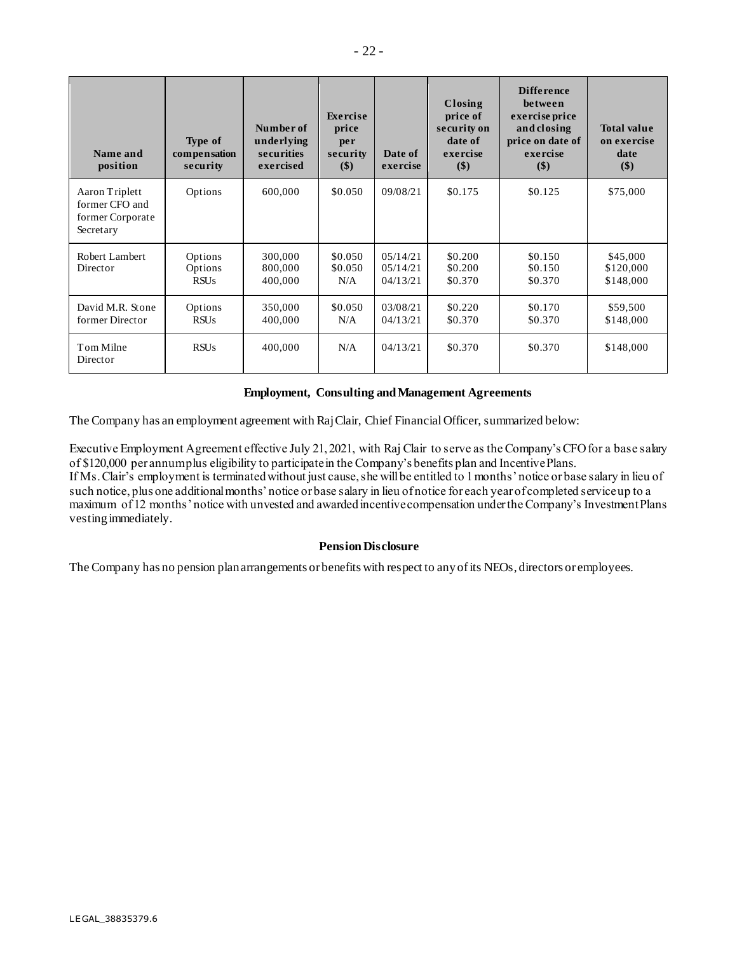| Name and<br>position                                              | Type of<br>compensation<br>security | Number of<br>underlying<br>securities<br>exercised | Exercise<br>price<br>per<br>security<br>\$) | Date of<br>exercise              | Closing<br>price of<br>security on<br>date of<br>exercise<br>$(\$)$ | <b>Difference</b><br>between<br>exercise price<br>and closing<br>price on date of<br>exercise<br>\$) | <b>Total value</b><br>on exercise<br>date<br>\$) |
|-------------------------------------------------------------------|-------------------------------------|----------------------------------------------------|---------------------------------------------|----------------------------------|---------------------------------------------------------------------|------------------------------------------------------------------------------------------------------|--------------------------------------------------|
| Aaron Triplett<br>former CFO and<br>former Corporate<br>Secretary | Options                             | 600,000                                            | \$0.050                                     | 09/08/21                         | \$0.175                                                             | \$0.125                                                                                              | \$75,000                                         |
| Robert Lambert<br>Director                                        | Options<br>Options<br><b>RSUs</b>   | 300,000<br>800,000<br>400,000                      | \$0.050<br>\$0.050<br>N/A                   | 05/14/21<br>05/14/21<br>04/13/21 | \$0.200<br>\$0.200<br>\$0.370                                       | \$0.150<br>\$0.150<br>\$0.370                                                                        | \$45,000<br>\$120,000<br>\$148,000               |
| David M.R. Stone<br>former Director                               | Options<br><b>RSUs</b>              | 350,000<br>400,000                                 | \$0.050<br>N/A                              | 03/08/21<br>04/13/21             | \$0.220<br>\$0.370                                                  | \$0.170<br>\$0.370                                                                                   | \$59,500<br>\$148,000                            |
| Tom Milne<br>Director                                             | <b>RSUs</b>                         | 400,000                                            | N/A                                         | 04/13/21                         | \$0.370                                                             | \$0.370                                                                                              | \$148,000                                        |

# **Employment, Consulting and Management Agreements**

The Company has an employment agreement with Raj Clair, Chief Financial Officer, summarized below:

Executive Employment Agreement effective July 21, 2021, with Raj Clair to serve as the Company's CFO for a base salary of \$120,000 per annum plus eligibility to participate in the Company's benefits plan and Incentive Plans. If Ms. Clair's employment is terminated without just cause, she will be entitled to 1 months' notice or base salary in lieu of such notice, plus one additional months' notice or base salary in lieu of notice for each year of completed service up to a maximum of 12 months' notice with unvested and awarded incentive compensation under the Company's Investment Plans vesting immediately.

# **Pension Disclosure**

The Company has no pension plan arrangements or benefits with respect to any of its NEOs, directors or employees.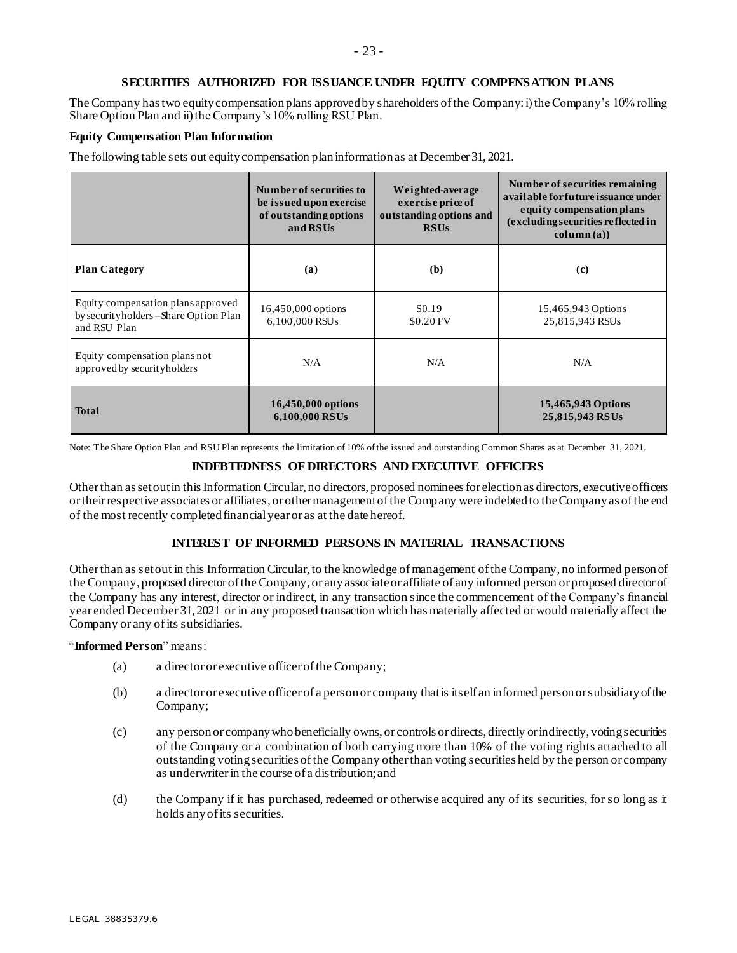### **SECURITIES AUTHORIZED FOR ISSUANCE UNDER EQUITY COMPENSATION PLANS**

The Company has two equity compensation plans approved by shareholders of the Company:i) the Company's 10% rolling Share Option Plan and ii) the Company's 10% rolling RSU Plan.

#### **Equity Compensation Plan Information**

The following table sets out equity compensation plan information as at December 31, 2021.

|                                                                                               | Number of securities to<br>be issued upon exercise<br>of outstanding options<br>and RSUs | Weighted-average<br>exercise price of<br>outstanding options and<br><b>RSUs</b> | Number of securities remaining<br>available for future issuance under<br>equity compensation plans<br>(excluding securities reflected in<br>$\text{column}(\mathbf{a})$ |
|-----------------------------------------------------------------------------------------------|------------------------------------------------------------------------------------------|---------------------------------------------------------------------------------|-------------------------------------------------------------------------------------------------------------------------------------------------------------------------|
| <b>Plan Category</b>                                                                          | (a)                                                                                      | (b)                                                                             | (c)                                                                                                                                                                     |
| Equity compensation plans approved<br>by security holders – Share Option Plan<br>and RSU Plan | 16,450,000 options<br>6.100.000 RSUs                                                     | \$0.19<br>\$0.20 FV                                                             | 15,465,943 Options<br>25,815,943 RSUs                                                                                                                                   |
| Equity compensation plans not<br>approved by securityholders                                  | N/A                                                                                      | N/A                                                                             | N/A                                                                                                                                                                     |
| <b>Total</b>                                                                                  | 16,450,000 options<br>6,100,000 RSUs                                                     |                                                                                 | 15,465,943 Options<br>25,815,943 RSUs                                                                                                                                   |

Note: The Share Option Plan and RSU Plan represents the limitation of 10% of the issued and outstanding Common Shares as at December 31, 2021.

### **INDEBTEDNESS OF DIRECTORS AND EXECUTIVE OFFICERS**

Other than as set out in this Information Circular, no directors, proposed nominees for election as directors, executive officers or their respective associates or affiliates, or other management of the Company were indebted to the Company as of the end of the most recently completed financial year or as at the date hereof.

# **INTEREST OF INFORMED PERSONS IN MATERIAL TRANSACTIONS**

Other than as set out in this Information Circular, to the knowledge of management of the Company, no informed person of the Company, proposed director of the Company, or any associate or affiliate of any informed person or proposed director of the Company has any interest, director or indirect, in any transaction since the commencement of the Company's financial year ended December 31, 2021 or in any proposed transaction which has materially affected or would materially affect the Company or any of its subsidiaries.

# "**Informed Person**" means:

- (a) a director or executive officer of the Company;
- (b) a director or executive officer of a person or company that is itself an informed person or subsidiary of the Company;
- (c) any person or company who beneficially owns, or controls or directs, directly or indirectly, voting securities of the Company or a combination of both carrying more than 10% of the voting rights attached to all outstanding voting securities of the Company other than voting securities held by the person or company as underwriter in the course of a distribution; and
- (d) the Company if it has purchased, redeemed or otherwise acquired any of its securities, for so long as it holds any of its securities.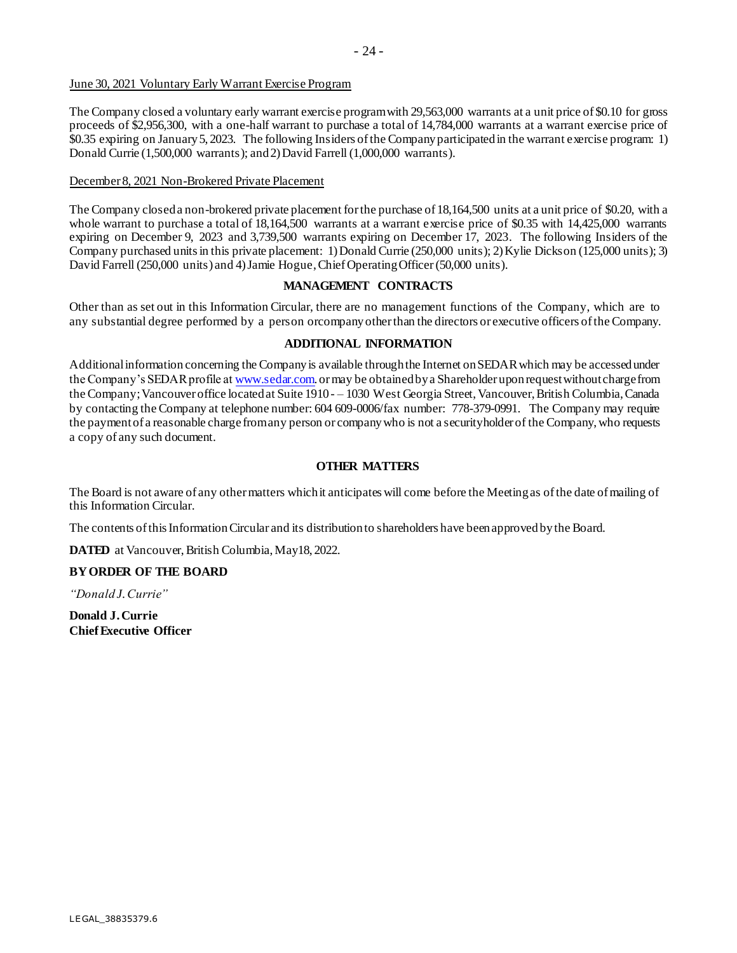### June 30, 2021 Voluntary Early Warrant Exercise Program

The Company closed a voluntary early warrant exercise programwith 29,563,000 warrants at a unit price of \$0.10 for gross proceeds of \$2,956,300, with a one-half warrant to purchase a total of 14,784,000 warrants at a warrant exercise price of \$0.35 expiring on January5, 2023. The following Insiders ofthe Companyparticipatedin the warrant exercise program: 1) Donald Currie (1,500,000 warrants); and2)David Farrell (1,000,000 warrants).

### December 8, 2021 Non-Brokered Private Placement

The Company closeda non-brokered private placement forthe purchase of 18,164,500 units at a unit price of \$0.20, with a whole warrant to purchase a total of 18,164,500 warrants at a warrant exercise price of \$0.35 with 14,425,000 warrants expiring on December 9, 2023 and 3,739,500 warrants expiring on December 17, 2023. The following Insiders of the Company purchased units in this private placement: 1) Donald Currie (250,000 units); 2) Kylie Dickson (125,000 units); 3) David Farrell (250,000 units) and 4) Jamie Hogue, Chief Operating Officer (50,000 units).

### **MANAGEMENT CONTRACTS**

Other than as set out in this Information Circular, there are no management functions of the Company, which are to any substantial degree performed by a person orcompany other than the directors or executive officers ofthe Company.

### **ADDITIONAL INFORMATION**

Additionalinformation concerning the Companyis available throughthe Internet onSEDARwhich may be accessedunder the Company's SEDAR profile [at www.sedar.com.](http://www.sedar.com/) or may be obtained by a Shareholder upon request without charge from the Company; Vancouver office located at Suite 1910 - – 1030 West Georgia Street, Vancouver, British Columbia, Canada by contacting the Company at telephone number: 604 609-0006/fax number: 778-379-0991. The Company may require the paymentof a reasonable charge fromany person or companywho is not a securityholder of the Company,who requests a copy of any such document.

# **OTHER MATTERS**

The Board is not aware of any other matters which it anticipates will come before the Meeting as of the date of mailing of this Information Circular.

The contents ofthis Information Circular and its distribution to shareholders have been approved bythe Board.

**DATED** at Vancouver, British Columbia, May18, 2022.

# **BYORDER OF THE BOARD**

*"Donald J.Currie"*

**Donald J.Currie Chief Executive Officer**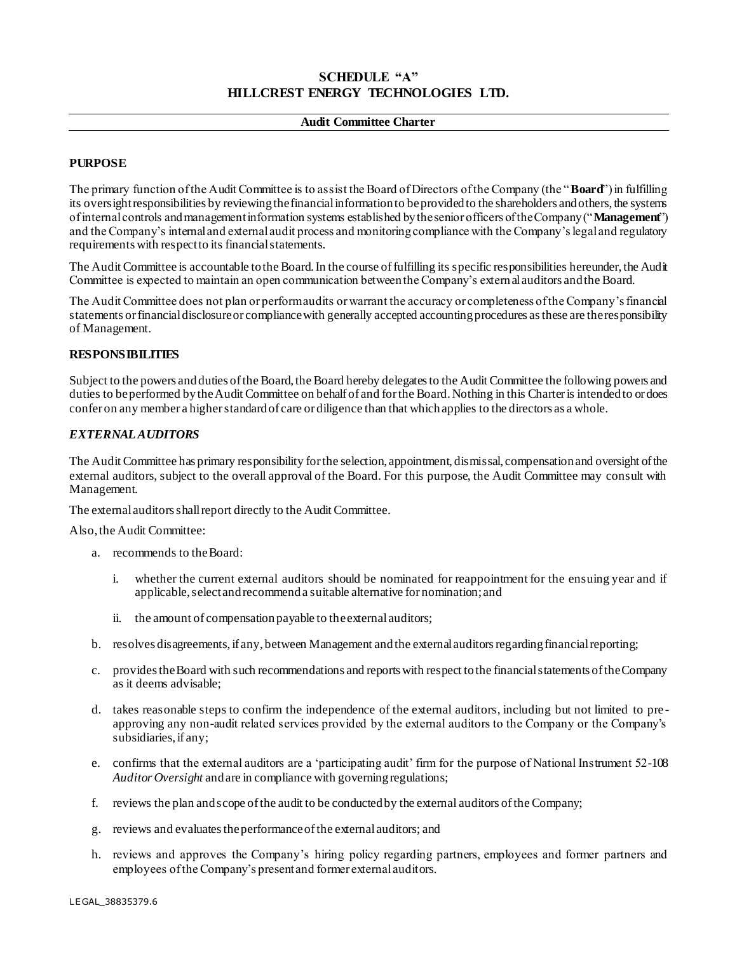# **SCHEDULE "A" HILLCREST ENERGY TECHNOLOGIES LTD.**

### **Audit Committee Charter**

# **PURPOSE**

The primary function of the Audit Committee is to assist the Board of Directors of the Company (the "**Board**") in fulfilling its oversight responsibilities by reviewing the financial information to be provided to the shareholders and others, the systems of internal controls and management information systems established by the senior officers of the Company ("**Management**") and the Company's internal and external audit process and monitoring compliance with the Company's legal and regulatory requirements with respect to its financial statements.

The Audit Committee is accountable to the Board. In the course of fulfilling its specific responsibilities hereunder, the Audit Committee is expected to maintain an open communication between the Company's external auditors and the Board.

The Audit Committee does not plan or perform audits or warrant the accuracy or completeness of the Company's financial statements or financial disclosure or compliance with generally accepted accounting procedures as these are the responsibility of Management.

# **RESPONSIBILITIES**

Subject to the powers and duties of the Board, the Board hereby delegates to the Audit Committee the following powers and duties to be performed by the Audit Committee on behalf of and for the Board. Nothing in this Charter is intended to or does confer on any member a higher standard of care or diligence than that which applies to the directors as a whole.

### *EXTERNAL AUDITORS*

The Audit Committee has primary responsibility for the selection, appointment, dismissal, compensation and oversight of the external auditors, subject to the overall approval of the Board. For this purpose, the Audit Committee may consult with Management.

The external auditors shall report directly to the Audit Committee.

Also, the Audit Committee:

- a. recommends to the Board:
	- i. whether the current external auditors should be nominated for reappointment for the ensuing year and if applicable, select and recommend a suitable alternative for nomination; and
	- ii. the amount of compensation payable to the external auditors;
- b. resolves disagreements, if any, between Management and the external auditors regarding financial reporting;
- c. provides the Board with such recommendations and reports with respect to the financial statements of the Company as it deems advisable;
- d. takes reasonable steps to confirm the independence of the external auditors, including but not limited to pre approving any non-audit related services provided by the external auditors to the Company or the Company's subsidiaries, if any;
- e. confirms that the external auditors are a 'participating audit' firm for the purpose of National Instrument 52-108 *Auditor Oversight* and are in compliance with governing regulations;
- f. reviews the plan and scope of the audit to be conducted by the external auditors of the Company;
- g. reviews and evaluates the performance of the external auditors; and
- h. reviews and approves the Company's hiring policy regarding partners, employees and former partners and employees of the Company's present and former external auditors.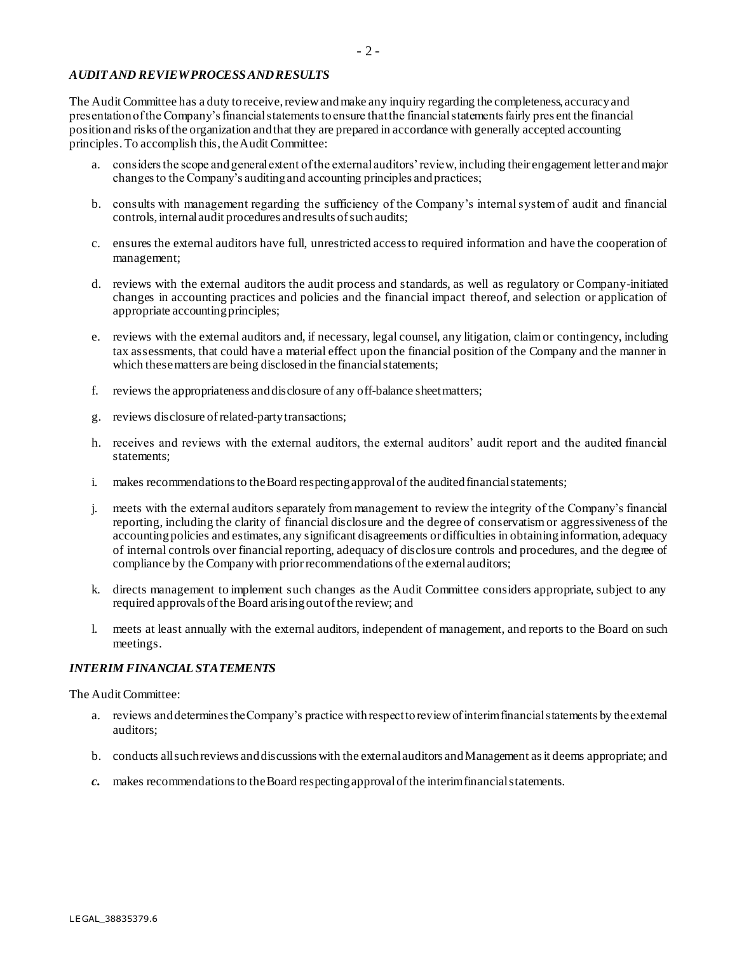# *AUDIT AND REVIEW PROCESS AND RESULTS*

The Audit Committee has a duty to receive, review and make any inquiry regarding the completeness, accuracy and presentation of the Company's financial statements to ensure that the financial statements fairly pres ent the financial position and risks of the organization and that they are prepared in accordance with generally accepted accounting principles. To accomplish this, the Audit Committee:

- a. considers the scope and general extent of the external auditors' review, including their engagement letter and major changes to the Company's auditing and accounting principles and practices;
- b. consults with management regarding the sufficiency of the Company's internal system of audit and financial controls, internal audit procedures and results of such audits;
- c. ensures the external auditors have full, unrestricted access to required information and have the cooperation of management;
- d. reviews with the external auditors the audit process and standards, as well as regulatory or Company-initiated changes in accounting practices and policies and the financial impact thereof, and selection or application of appropriate accounting principles;
- e. reviews with the external auditors and, if necessary, legal counsel, any litigation, claim or contingency, including tax assessments, that could have a material effect upon the financial position of the Company and the manner in which these matters are being disclosed in the financial statements;
- f. reviews the appropriateness and disclosure of any off-balance sheet matters;
- g. reviews disclosure of related-party transactions;
- h. receives and reviews with the external auditors, the external auditors' audit report and the audited financial statements;
- i. makes recommendations to the Board respecting approval of the audited financial statements;
- j. meets with the external auditors separately from management to review the integrity of the Company's financial reporting, including the clarity of financial disclosure and the degree of conservatism or aggressiveness of the accounting policies and estimates, any significant disagreements or difficulties in obtaining information, adequacy of internal controls over financial reporting, adequacy of disclosure controls and procedures, and the degree of compliance by the Company with prior recommendations of the external auditors;
- k. directs management to implement such changes as the Audit Committee considers appropriate, subject to any required approvals of the Board arising out of the review; and
- l. meets at least annually with the external auditors, independent of management, and reports to the Board on such meetings.

# *INTERIM FINANCIAL STATEMENTS*

The Audit Committee:

- a. reviews and determines the Company's practice with respect to review of interim financial statements by the external auditors;
- b. conducts all such reviews and discussions with the external auditors and Management as it deems appropriate; and
- *c.* makes recommendations to the Board respecting approval of the interim financial statements.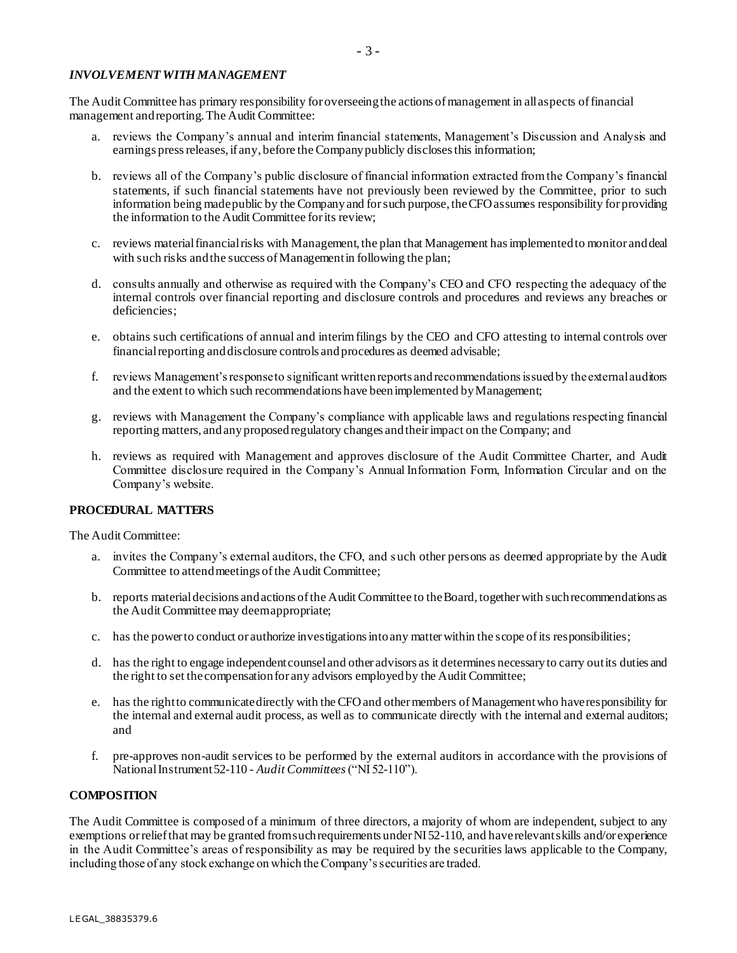### *INVOLVEMENT WITH MANAGEMENT*

The Audit Committee has primary responsibility for overseeing the actions of management in all aspects of financial management and reporting. The Audit Committee:

- a. reviews the Company's annual and interim financial statements, Management's Discussion and Analysis and earnings press releases, if any, before the Company publicly discloses this information;
- b. reviews all of the Company's public disclosure of financial information extracted from the Company's financial statements, if such financial statements have not previously been reviewed by the Committee, prior to such information being made public by the Company and for such purpose, the CFO assumes responsibility for providing the information to the Audit Committee for its review;
- c. reviews material financial risks with Management, the plan that Management has implemented to monitor and deal with such risks and the success of Management in following the plan;
- d. consults annually and otherwise as required with the Company's CEO and CFO respecting the adequacy of the internal controls over financial reporting and disclosure controls and procedures and reviews any breaches or deficiencies:
- e. obtains such certifications of annual and interim filings by the CEO and CFO attesting to internal controls over financial reporting and disclosure controls and procedures as deemed advisable;
- f. reviews Management's response to significant written reports and recommendations issued by the external auditors and the extent to which such recommendations have been implemented by Management;
- g. reviews with Management the Company's compliance with applicable laws and regulations respecting financial reporting matters, and any proposed regulatory changes and their impact on the Company; and
- h. reviews as required with Management and approves disclosure of the Audit Committee Charter, and Audit Committee disclosure required in the Company's Annual Information Form, Information Circular and on the Company's website.

# **PROCEDURAL MATTERS**

The Audit Committee:

- a. invites the Company's external auditors, the CFO, and s uch other persons as deemed appropriate by the Audit Committee to attend meetings of the Audit Committee;
- b. reports material decisions and actions of the Audit Committee to the Board, together with such recommendations as the Audit Committee may deem appropriate;
- c. has the power to conduct or authorize investigations into any matter within the scope of its responsibilities;
- d. has the right to engage independent counsel and other advisors as it determines necessary to carry out its duties and the right to set the compensation for any advisors employed by the Audit Committee;
- e. has the right to communicate directly with the CFO and other members of Management who have responsibility for the internal and external audit process, as well as to communicate directly with the internal and external auditors; and
- f. pre-approves non-audit services to be performed by the external auditors in accordance with the provisions of National Instrument 52-110 - *Audit Committees* ("NI 52-110").

# **COMPOSITION**

The Audit Committee is composed of a minimum of three directors, a majority of whom are independent, subject to any exemptions or relief that may be granted from such requirements under NI 52-110, and have relevant skills and/or experience in the Audit Committee's areas of responsibility as may be required by the securities laws applicable to the Company, including those of any stock exchange on which the Company's securities are traded.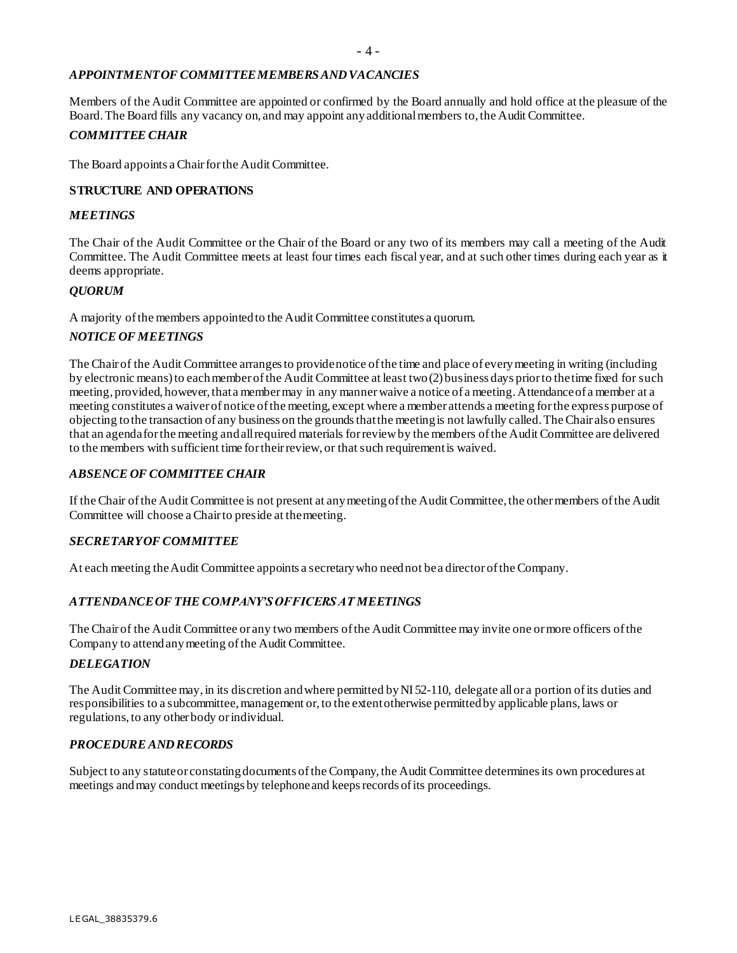### *APPOINTMENT OF COMMITTEE MEMBERS AND VACANCIES*

Members of the Audit Committee are appointed or confirmed by the Board annually and hold office at the pleasure of the Board. The Board fills any vacancy on, and may appoint any additional members to, the Audit Committee.

### *COMMITTEE CHAIR*

The Board appoints a Chair for the Audit Committee.

### **STRUCTURE AND OPERATIONS**

#### *MEETINGS*

The Chair of the Audit Committee or the Chair of the Board or any two of its members may call a meeting of the Audit Committee. The Audit Committee meets at least four times each fiscal year, and at such other times during each year as it deems appropriate.

### *QUORUM*

A majority of the members appointed to the Audit Committee constitutes a quorum.

### *NOTICE OF MEETINGS*

The Chair of the Audit Committee arranges to provide notice of the time and place of every meeting in writing (including by electronic means) to each member of the Audit Committee at least two (2) business days prior to the time fixed for such meeting, provided, however, that a member may in any manner waive a notice of a meeting. Attendance of a member at a meeting constitutes a waiver of notice of the meeting, except where a member attends a meeting for the express purpose of objecting to the transaction of any business on the grounds that the meeting is not lawfully called. The Chair also ensures that an agenda for the meeting and all required materials for review by the members of the Audit Committee are delivered to the members with sufficient time for their review, or that such requirement is waived.

### *ABSENCE OF COMMITTEE CHAIR*

If the Chair of the Audit Committee is not present at any meeting of the Audit Committee, the other members of the Audit Committee will choose a Chair to preside at the meeting.

### *SECRETARY OF COMMITTEE*

At each meeting the Audit Committee appoints a secretary who need not be a director of the Company.

# *ATTENDANCE OF THE COMPANY'S OFFICERS AT MEETINGS*

The Chair of the Audit Committee or any two members of the Audit Committee may invite one or more officers of the Company to attend any meeting of the Audit Committee.

#### *DELEGATION*

The Audit Committee may, in its discretion and where permitted by NI 52-110, delegate all or a portion of its duties and responsibilities to a subcommittee, management or, to the extent otherwise permitted by applicable plans, laws or regulations, to any other body or individual.

### *PROCEDURE AND RECORDS*

Subject to any statute or constating documents of the Company, the Audit Committee determines its own procedures at meetings and may conduct meetings by telephone and keeps records of its proceedings.